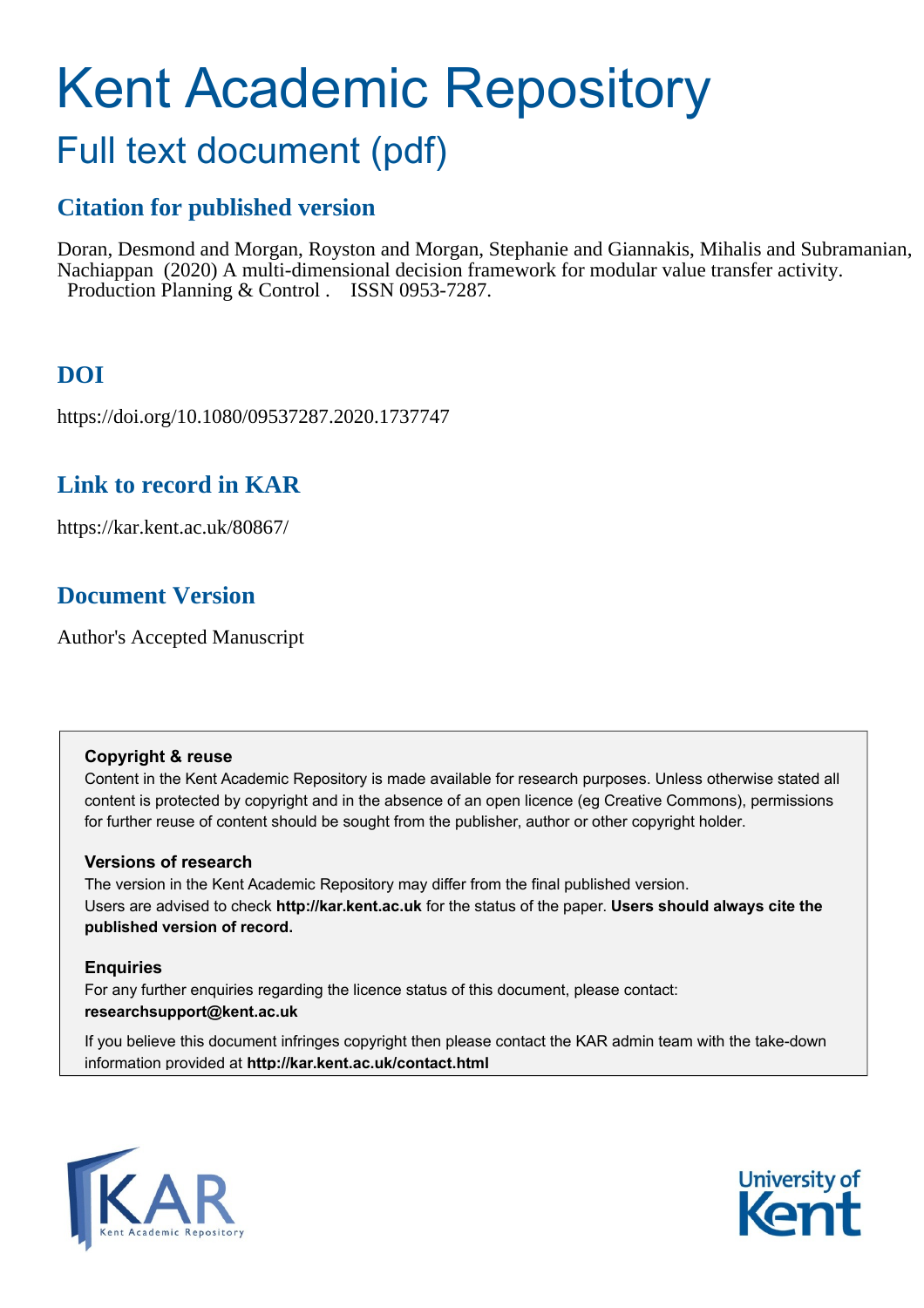# Kent Academic Repository

## Full text document (pdf)

## **Citation for published version**

Doran, Desmond and Morgan, Royston and Morgan, Stephanie and Giannakis, Mihalis and Subramanian, Nachiappan (2020) A multi-dimensional decision framework for modular value transfer activity. Production Planning & Control . ISSN 0953-7287.

## **DOI**

https://doi.org/10.1080/09537287.2020.1737747

## **Link to record in KAR**

https://kar.kent.ac.uk/80867/

## **Document Version**

Author's Accepted Manuscript

#### **Copyright & reuse**

Content in the Kent Academic Repository is made available for research purposes. Unless otherwise stated all content is protected by copyright and in the absence of an open licence (eg Creative Commons), permissions for further reuse of content should be sought from the publisher, author or other copyright holder.

#### **Versions of research**

The version in the Kent Academic Repository may differ from the final published version. Users are advised to check **http://kar.kent.ac.uk** for the status of the paper. **Users should always cite the published version of record.**

#### **Enquiries**

For any further enquiries regarding the licence status of this document, please contact: **researchsupport@kent.ac.uk**

If you believe this document infringes copyright then please contact the KAR admin team with the take-down information provided at **http://kar.kent.ac.uk/contact.html**



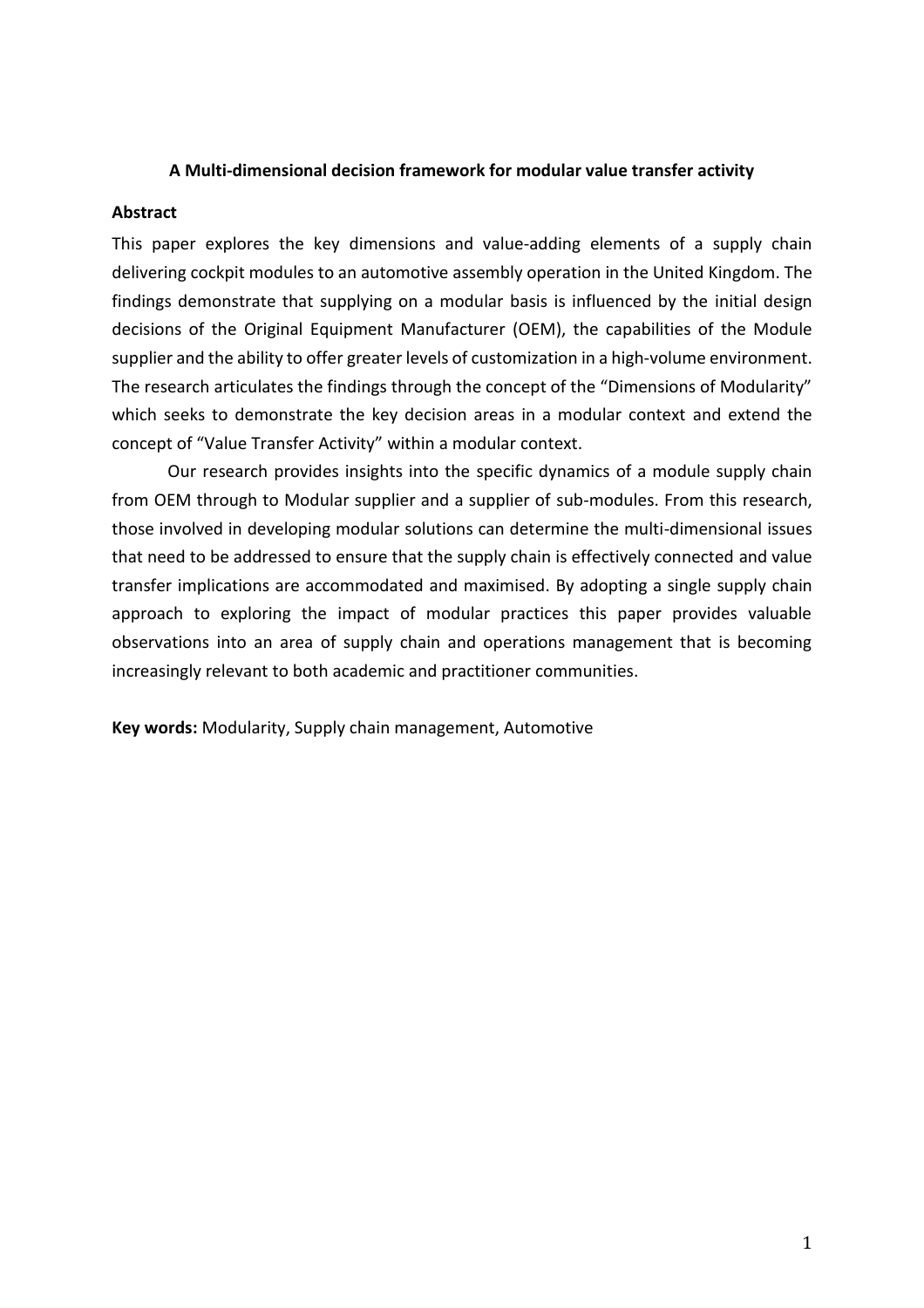#### **A Multi-dimensional decision framework for modular value transfer activity**

#### **Abstract**

This paper explores the key dimensions and value-adding elements of a supply chain delivering cockpit modules to an automotive assembly operation in the United Kingdom. The findings demonstrate that supplying on a modular basis is influenced by the initial design decisions of the Original Equipment Manufacturer (OEM), the capabilities of the Module supplier and the ability to offer greater levels of customization in a high-volume environment. The research articulates the findings through the concept of the "Dimensions of Modularity" which seeks to demonstrate the key decision areas in a modular context and extend the concept of "Value Transfer Activity" within a modular context.

Our research provides insights into the specific dynamics of a module supply chain from OEM through to Modular supplier and a supplier of sub-modules. From this research, those involved in developing modular solutions can determine the multi-dimensional issues that need to be addressed to ensure that the supply chain is effectively connected and value transfer implications are accommodated and maximised. By adopting a single supply chain approach to exploring the impact of modular practices this paper provides valuable observations into an area of supply chain and operations management that is becoming increasingly relevant to both academic and practitioner communities.

**Key words:** Modularity, Supply chain management, Automotive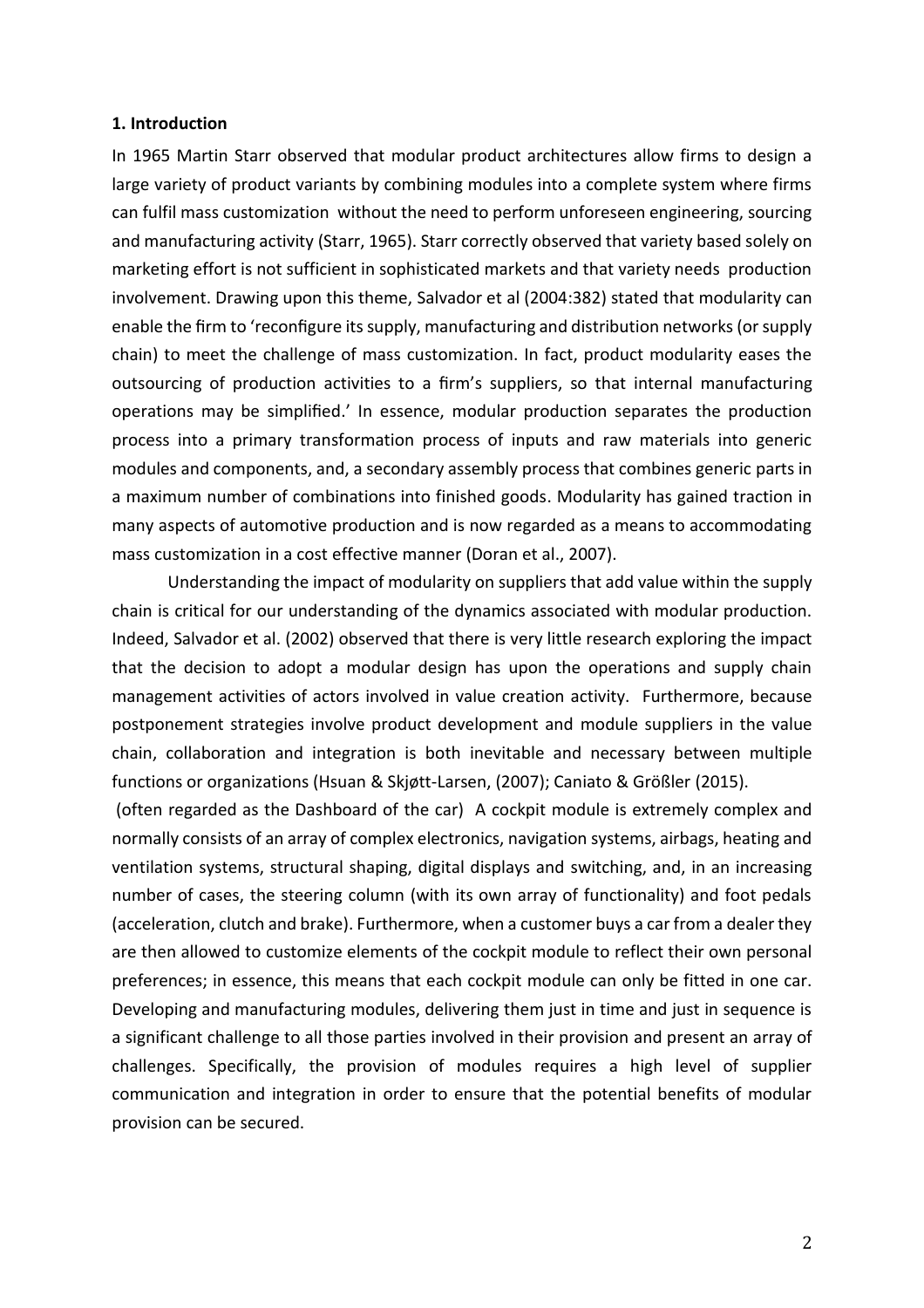#### **1. Introduction**

In 1965 Martin Starr observed that modular product architectures allow firms to design a large variety of product variants by combining modules into a complete system where firms can fulfil mass customization without the need to perform unforeseen engineering, sourcing and manufacturing activity [\(Starr, 1965\)](#page--1-0). Starr correctly observed that variety based solely on marketing effort is not sufficient in sophisticated markets and that variety needs production involvement. Drawing upon this theme, Salvador et al (2004:382) stated that modularity can enable the firm to 'reconfigure its supply, manufacturing and distribution networks (or supply chain) to meet the challenge of mass customization. In fact, product modularity eases the outsourcing of production activities to a firm's suppliers, so that internal manufacturing operations may be simplified.' In essence, modular production separates the production process into a primary transformation process of inputs and raw materials into generic modules and components, and, a secondary assembly process that combines generic parts in a maximum number of combinations into finished goods. Modularity has gained traction in many aspects of automotive production and is now regarded as a means to accommodating mass customization in a cost effective manner [\(Doran et al., 2007\)](#page--1-1).

Understanding the impact of modularity on suppliers that add value within the supply chain is critical for our understanding of the dynamics associated with modular production. Indeed, [Salvador et al. \(2002\)](#page--1-2) observed that there is very little research exploring the impact that the decision to adopt a modular design has upon the operations and supply chain management activities of actors involved in value creation activity. Furthermore, because postponement strategies involve product development and module suppliers in the value chain, collaboration and integration is both inevitable and necessary between multiple functions or organizations (Hsuan & Skjøtt-Larsen, (2007); Caniato & Größler (2015).

(often regarded as the Dashboard of the car) A cockpit module is extremely complex and normally consists of an array of complex electronics, navigation systems, airbags, heating and ventilation systems, structural shaping, digital displays and switching, and, in an increasing number of cases, the steering column (with its own array of functionality) and foot pedals (acceleration, clutch and brake). Furthermore, when a customer buys a car from a dealer they are then allowed to customize elements of the cockpit module to reflect their own personal preferences; in essence, this means that each cockpit module can only be fitted in one car. Developing and manufacturing modules, delivering them just in time and just in sequence is a significant challenge to all those parties involved in their provision and present an array of challenges. Specifically, the provision of modules requires a high level of supplier communication and integration in order to ensure that the potential benefits of modular provision can be secured.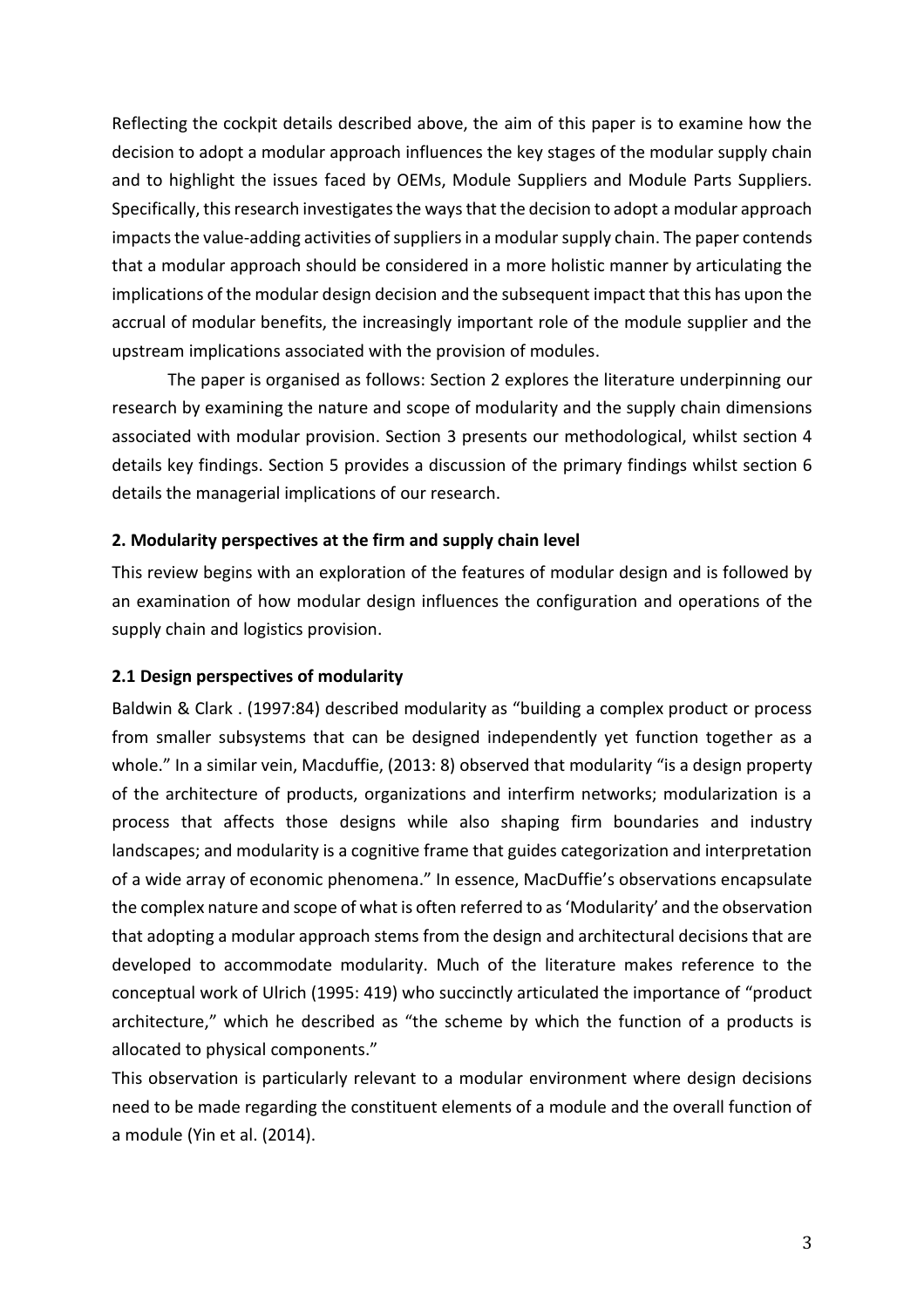Reflecting the cockpit details described above, the aim of this paper is to examine how the decision to adopt a modular approach influences the key stages of the modular supply chain and to highlight the issues faced by OEMs, Module Suppliers and Module Parts Suppliers. Specifically, this research investigates the ways that the decision to adopt a modular approach impacts the value-adding activities of suppliers in a modular supply chain. The paper contends that a modular approach should be considered in a more holistic manner by articulating the implications of the modular design decision and the subsequent impact that this has upon the accrual of modular benefits, the increasingly important role of the module supplier and the upstream implications associated with the provision of modules.

The paper is organised as follows: Section 2 explores the literature underpinning our research by examining the nature and scope of modularity and the supply chain dimensions associated with modular provision. Section 3 presents our methodological, whilst section 4 details key findings. Section 5 provides a discussion of the primary findings whilst section 6 details the managerial implications of our research.

#### **2. Modularity perspectives at the firm and supply chain level**

This review begins with an exploration of the features of modular design and is followed by an examination of how modular design influences the configuration and operations of the supply chain and logistics provision.

#### **2.1 Design perspectives of modularity**

Baldwin & Clark . (1997:84) described modularity as "building a complex product or process from smaller subsystems that can be designed independently yet function together as a whole." In a similar vein, Macduffie, (2013: 8) observed that modularity "is a design property of the architecture of products, organizations and interfirm networks; modularization is a process that affects those designs while also shaping firm boundaries and industry landscapes; and modularity is a cognitive frame that guides categorization and interpretation of a wide array of economic phenomena." In essence, MacDuffie's observations encapsulate the complex nature and scope of what is often referred to as 'Modularity' and the observation that adopting a modular approach stems from the design and architectural decisions that are developed to accommodate modularity. Much of the literature makes reference to the conceptual work of [Ulrich \(1995: 419\)](#page--1-3) who succinctly articulated the importance of "product architecture," which he described as "the scheme by which the function of a products is allocated to physical components."

This observation is particularly relevant to a modular environment where design decisions need to be made regarding the constituent elements of a module and the overall function of a module (Yin et al. (2014).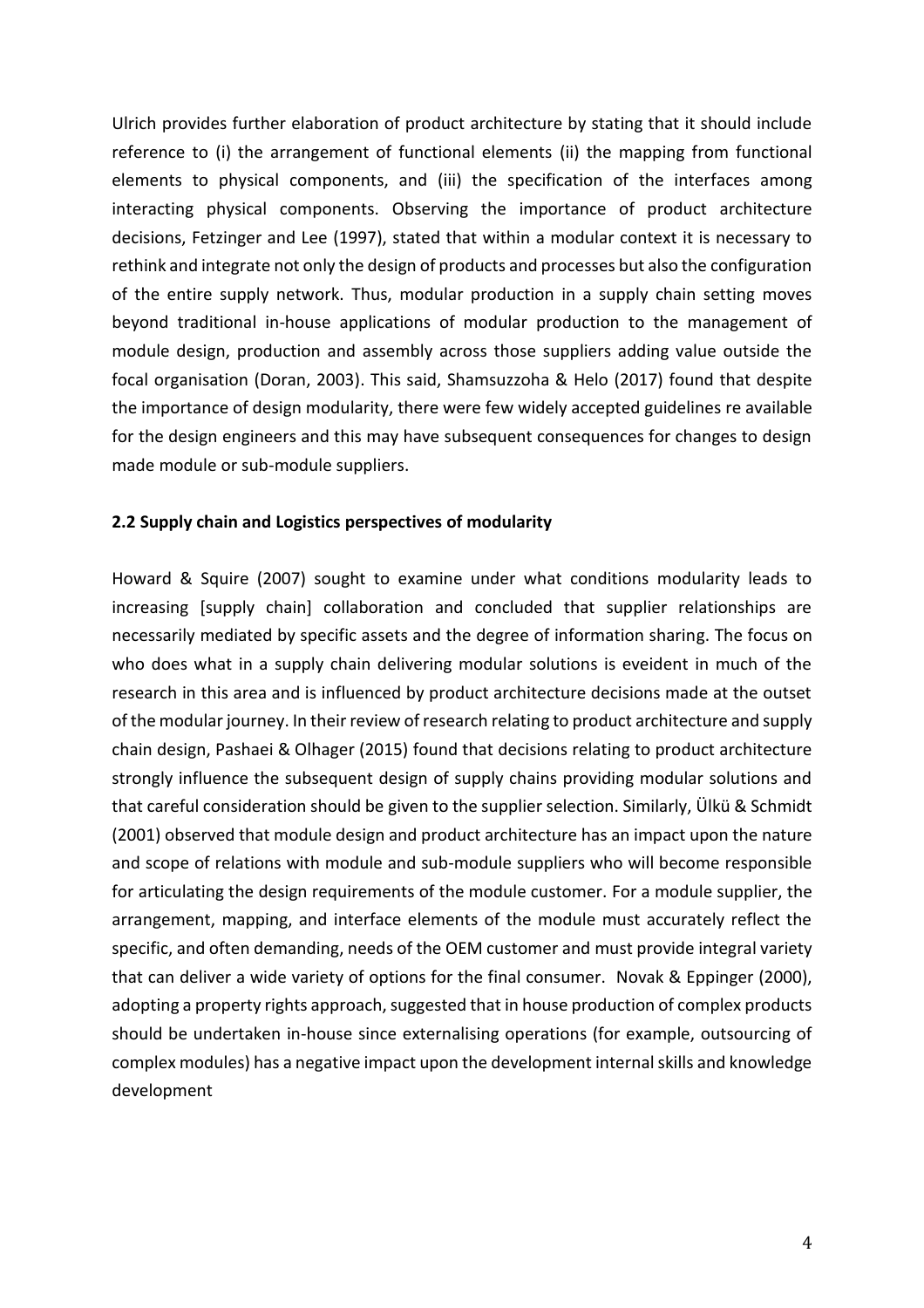Ulrich provides further elaboration of product architecture by stating that it should include reference to (i) the arrangement of functional elements (ii) the mapping from functional elements to physical components, and (iii) the specification of the interfaces among interacting physical components. Observing the importance of product architecture decisions, [Fetzinger and Lee \(1997\)](#page--1-4), stated that within a modular context it is necessary to rethink and integrate not only the design of products and processes but also the configuration of the entire supply network. Thus, modular production in a supply chain setting moves beyond traditional in-house applications of modular production to the management of module design, production and assembly across those suppliers adding value outside the focal organisation (Doran, 2003). This said, Shamsuzzoha & Helo (2017) found that despite the importance of design modularity, there were few widely accepted guidelines re available for the design engineers and this may have subsequent consequences for changes to design made module or sub-module suppliers.

#### **2.2 Supply chain and Logistics perspectives of modularity**

Howard & Squire (2007) sought to examine under what conditions modularity leads to increasing [supply chain] collaboration and concluded that supplier relationships are necessarily mediated by specific assets and the degree of information sharing. The focus on who does what in a supply chain delivering modular solutions is eveident in much of the research in this area and is influenced by product architecture decisions made at the outset of the modular journey. In their review of research relating to product architecture and supply chain design, Pashaei & Olhager (2015) found that decisions relating to product architecture strongly influence the subsequent design of supply chains providing modular solutions and that careful consideration should be given to the supplier selection. Similarly, Ülkü & Schmidt (2001) observed that module design and product architecture has an impact upon the nature and scope of relations with module and sub-module suppliers who will become responsible for articulating the design requirements of the module customer. For a module supplier, the arrangement, mapping, and interface elements of the module must accurately reflect the specific, and often demanding, needs of the OEM customer and must provide integral variety that can deliver a wide variety of options for the final consumer. Novak & Eppinger (2000), adopting a property rights approach, suggested that in house production of complex products should be undertaken in-house since externalising operations (for example, outsourcing of complex modules) has a negative impact upon the development internal skills and knowledge development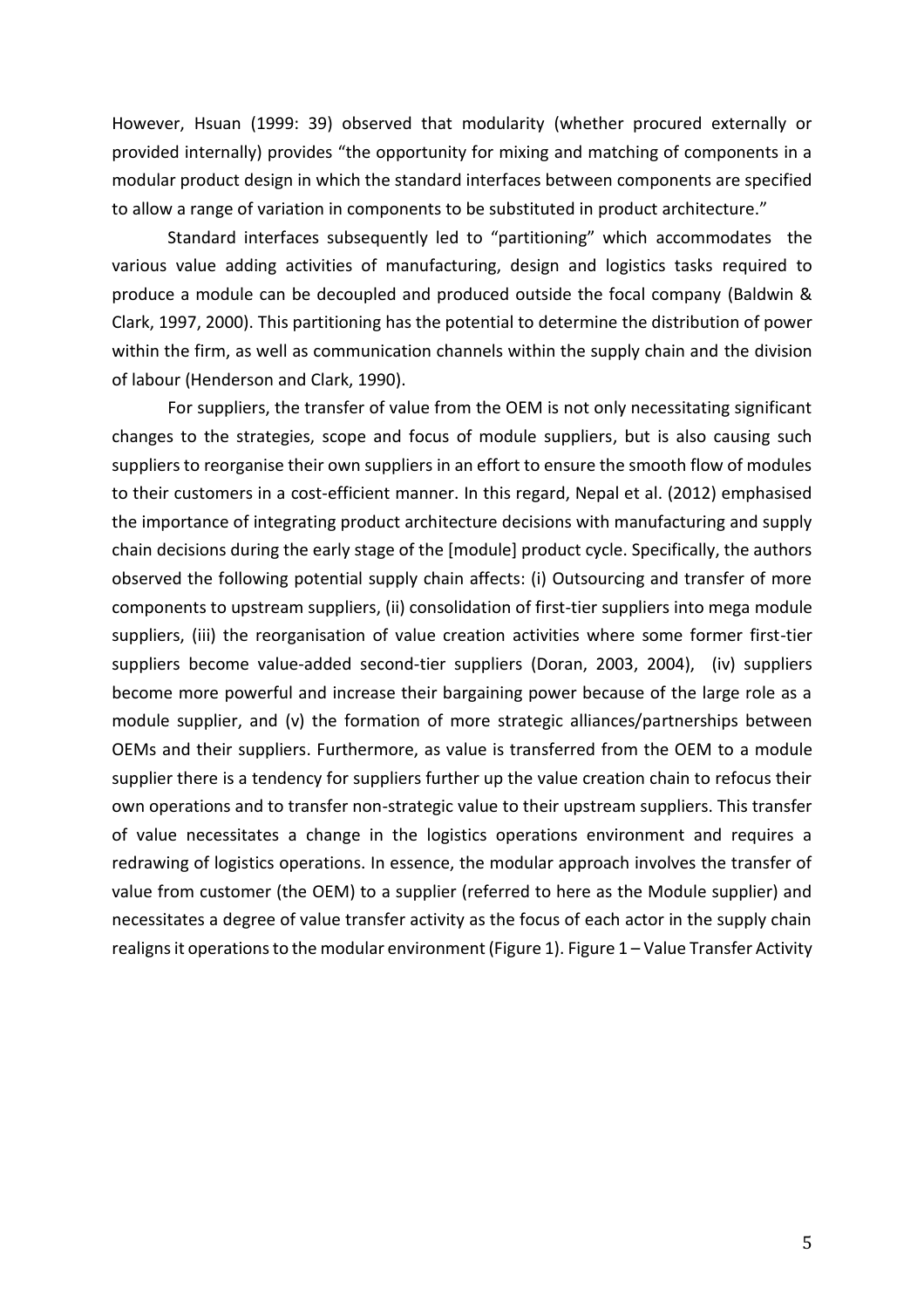However, [Hsuan \(1999: 39\)](#page--1-5) observed that modularity (whether procured externally or provided internally) provides "the opportunity for mixing and matching of components in a modular product design in which the standard interfaces between components are specified to allow a range of variation in components to be substituted in product architecture."

Standard interfaces subsequently led to "partitioning" which accommodates the various value adding activities of manufacturing, design and logistics tasks required to produce a module can be decoupled and produced outside the focal company [\(Baldwin &](#page--1-6) [Clark, 1997,](#page--1-6) [2000\)](#page--1-7). This partitioning has the potential to determine the distribution of power within the firm, as well as communication channels within the supply chain and the division of labour [\(Henderson and Clark, 1990\)](#page--1-8).

For suppliers, the transfer of value from the OEM is not only necessitating significant changes to the strategies, scope and focus of module suppliers, but is also causing such suppliers to reorganise their own suppliers in an effort to ensure the smooth flow of modules to their customers in a cost-efficient manner. In this regard, Nepal et al. (2012) emphasised the importance of integrating product architecture decisions with manufacturing and supply chain decisions during the early stage of the [module] product cycle. Specifically, the authors observed the following potential supply chain affects: (i) Outsourcing and transfer of more components to upstream suppliers, (ii) consolidation of first-tier suppliers into mega module suppliers, (iii) the reorganisation of value creation activities where some former first-tier suppliers become value-added second-tier suppliers [\(Doran, 2003,](#page--1-9) [2004\)](#page--1-10), (iv) suppliers become more powerful and increase their bargaining power because of the large role as a module supplier, and (v) the formation of more strategic alliances/partnerships between OEMs and their suppliers. Furthermore, as value is transferred from the OEM to a module supplier there is a tendency for suppliers further up the value creation chain to refocus their own operations and to transfer non-strategic value to their upstream suppliers. This transfer of value necessitates a change in the logistics operations environment and requires a redrawing of logistics operations. In essence, the modular approach involves the transfer of value from customer (the OEM) to a supplier (referred to here as the Module supplier) and necessitates a degree of value transfer activity as the focus of each actor in the supply chain realigns it operations to the modular environment (Figure 1). Figure 1 – Value Transfer Activity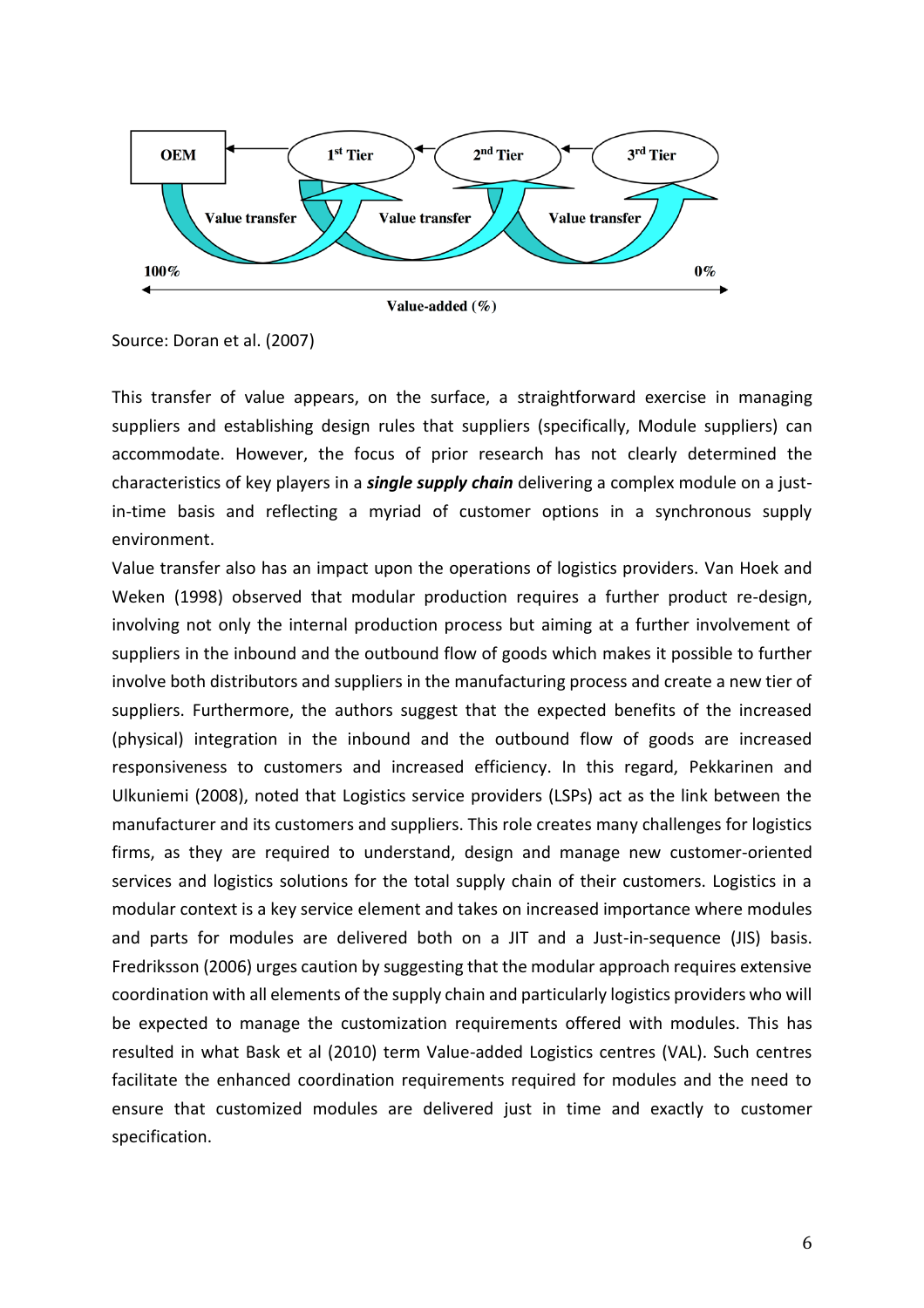

Source: [Doran et al. \(2007\)](#page--1-1)

This transfer of value appears, on the surface, a straightforward exercise in managing suppliers and establishing design rules that suppliers (specifically, Module suppliers) can accommodate. However, the focus of prior research has not clearly determined the characteristics of key players in a *single supply chain* delivering a complex module on a justin-time basis and reflecting a myriad of customer options in a synchronous supply environment.

Value transfer also has an impact upon the operations of logistics providers. [Van Hoek and](#page--1-11)  [Weken \(1998\)](#page--1-11) observed that modular production requires a further product re-design, involving not only the internal production process but aiming at a further involvement of suppliers in the inbound and the outbound flow of goods which makes it possible to further involve both distributors and suppliers in the manufacturing process and create a new tier of suppliers. Furthermore, the authors suggest that the expected benefits of the increased (physical) integration in the inbound and the outbound flow of goods are increased responsiveness to customers and increased efficiency. In this regard, [Pekkarinen and](#page--1-4)  [Ulkuniemi \(2008\)](#page--1-4), noted that Logistics service providers (LSPs) act as the link between the manufacturer and its customers and suppliers. This role creates many challenges for logistics firms, as they are required to understand, design and manage new customer-oriented services and logistics solutions for the total supply chain of their customers. Logistics in a modular context is a key service element and takes on increased importance where modules and parts for modules are delivered both on a JIT and a Just-in-sequence (JIS) basis. Fredriksson (2006) urges caution by suggesting that the modular approach requires extensive coordination with all elements of the supply chain and particularly logistics providers who will be expected to manage the customization requirements offered with modules. This has resulted in what Bask et al (2010) term Value-added Logistics centres (VAL). Such centres facilitate the enhanced coordination requirements required for modules and the need to ensure that customized modules are delivered just in time and exactly to customer specification.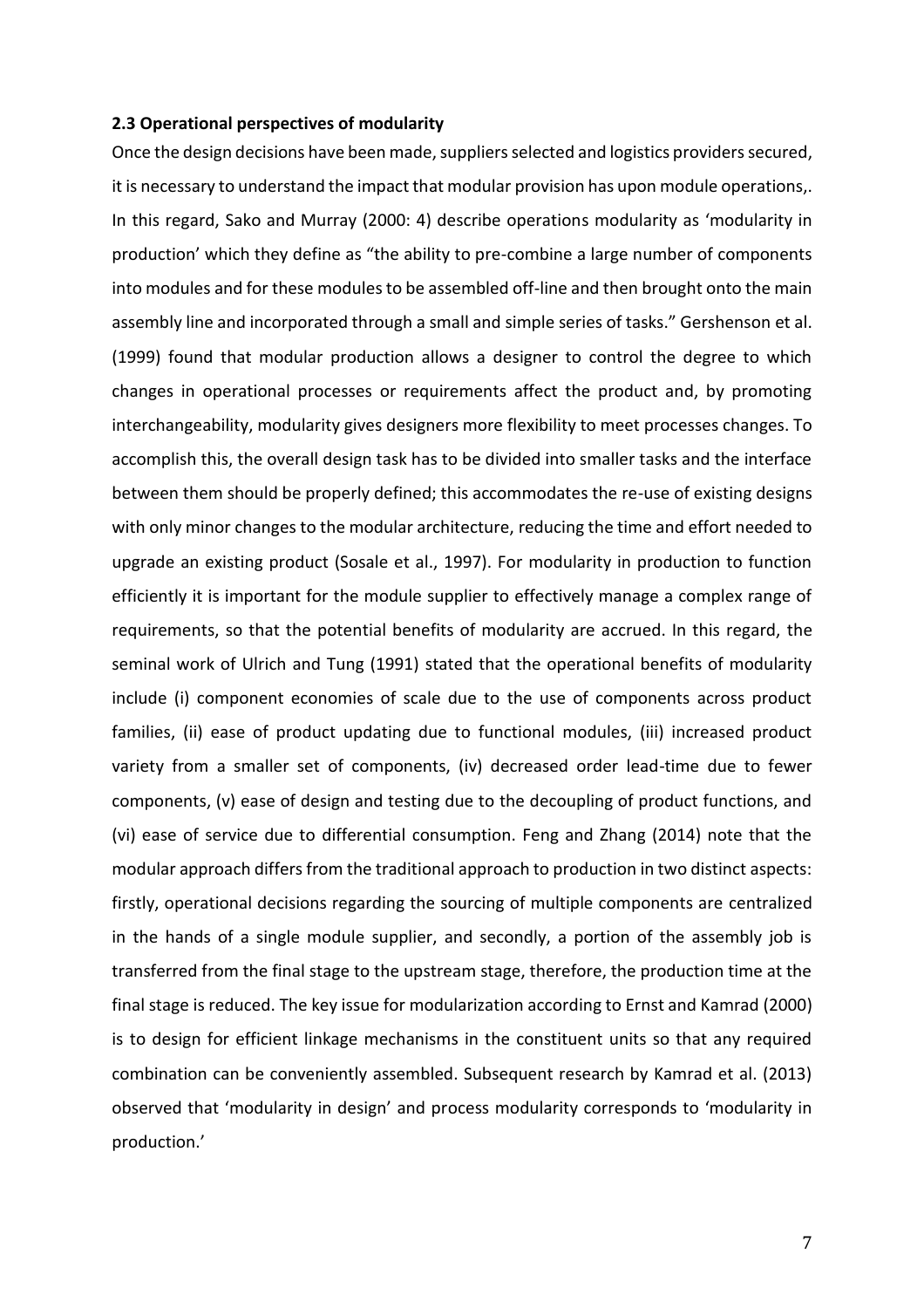#### **2.3 Operational perspectives of modularity**

Once the design decisions have been made, suppliers selected and logistics providers secured, it is necessary to understand the impact that modular provision has upon module operations,. In this regard, Sako and Murray (2000: 4) describe operations modularity as 'modularity in production' which they define as "the ability to pre-combine a large number of components into modules and for these modules to be assembled off-line and then brought onto the main assembly line and incorporated through a small and simple series of tasks." Gershenson et al. (1999) found that modular production allows a designer to control the degree to which changes in operational processes or requirements affect the product and, by promoting interchangeability, modularity gives designers more flexibility to meet processes changes. To accomplish this, the overall design task has to be divided into smaller tasks and the interface between them should be properly defined; this accommodates the re-use of existing designs with only minor changes to the modular architecture, reducing the time and effort needed to upgrade an existing product (Sosale et al., 1997). For modularity in production to function efficiently it is important for the module supplier to effectively manage a complex range of requirements, so that the potential benefits of modularity are accrued. In this regard, the seminal work of Ulrich and Tung (1991) stated that the operational benefits of modularity include (i) component economies of scale due to the use of components across product families, (ii) ease of product updating due to functional modules, (iii) increased product variety from a smaller set of components, (iv) decreased order lead-time due to fewer components, (v) ease of design and testing due to the decoupling of product functions, and (vi) ease of service due to differential consumption. Feng and Zhang (2014) note that the modular approach differs from the traditional approach to production in two distinct aspects: firstly, operational decisions regarding the sourcing of multiple components are centralized in the hands of a single module supplier, and secondly, a portion of the assembly job is transferred from the final stage to the upstream stage, therefore, the production time at the final stage is reduced. The key issue for modularization according to Ernst and Kamrad (2000) is to design for efficient linkage mechanisms in the constituent units so that any required combination can be conveniently assembled. Subsequent research by Kamrad et al. (2013) observed that 'modularity in design' and process modularity corresponds to 'modularity in production.'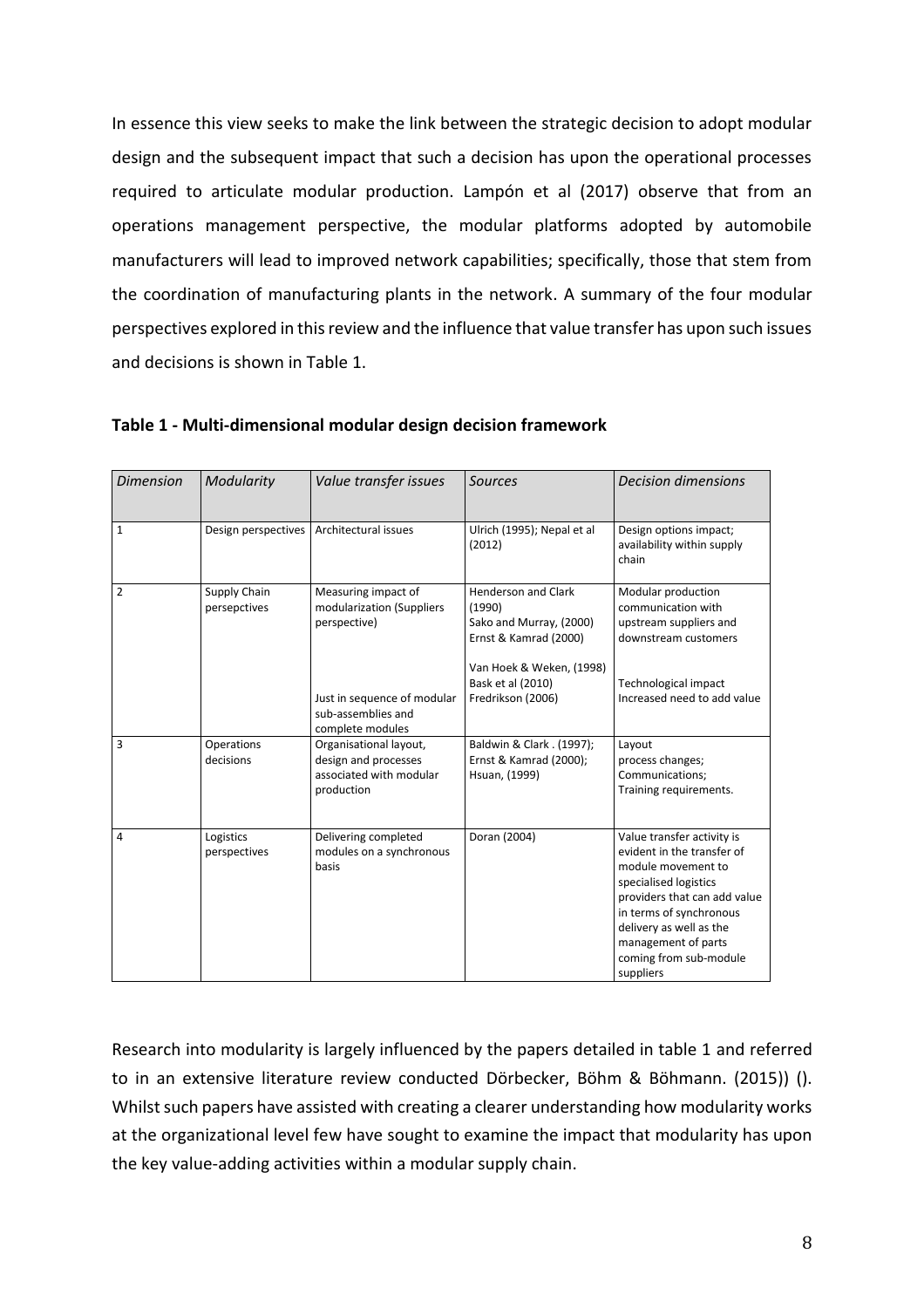In essence this view seeks to make the link between the strategic decision to adopt modular design and the subsequent impact that such a decision has upon the operational processes required to articulate modular production. Lampón et al (2017) observe that from an operations management perspective, the modular platforms adopted by automobile manufacturers will lead to improved network capabilities; specifically, those that stem from the coordination of manufacturing plants in the network. A summary of the four modular perspectives explored in this review and the influence that value transfer has upon such issues and decisions is shown in Table 1.

| <b>Dimension</b> | Modularity                   | Value transfer issues                                                                   | <b>Sources</b>                                                                                                       | Decision dimensions                                                                                                                                                                                                                                         |
|------------------|------------------------------|-----------------------------------------------------------------------------------------|----------------------------------------------------------------------------------------------------------------------|-------------------------------------------------------------------------------------------------------------------------------------------------------------------------------------------------------------------------------------------------------------|
| $\mathbf{1}$     | Design perspectives          | Architectural issues                                                                    | Ulrich (1995); Nepal et al<br>(2012)                                                                                 | Design options impact;<br>availability within supply<br>chain                                                                                                                                                                                               |
| $\overline{2}$   | Supply Chain<br>persepctives | Measuring impact of<br>modularization (Suppliers<br>perspective)                        | <b>Henderson and Clark</b><br>(1990)<br>Sako and Murray, (2000)<br>Ernst & Kamrad (2000)<br>Van Hoek & Weken, (1998) | Modular production<br>communication with<br>upstream suppliers and<br>downstream customers                                                                                                                                                                  |
|                  |                              | Just in sequence of modular<br>sub-assemblies and<br>complete modules                   | Bask et al (2010)<br>Fredrikson (2006)                                                                               | Technological impact<br>Increased need to add value                                                                                                                                                                                                         |
| 3                | Operations<br>decisions      | Organisational layout,<br>design and processes<br>associated with modular<br>production | Baldwin & Clark. (1997);<br>Ernst & Kamrad (2000);<br>Hsuan, (1999)                                                  | Layout<br>process changes;<br>Communications;<br>Training requirements.                                                                                                                                                                                     |
| 4                | Logistics<br>perspectives    | Delivering completed<br>modules on a synchronous<br>basis                               | Doran (2004)                                                                                                         | Value transfer activity is<br>evident in the transfer of<br>module movement to<br>specialised logistics<br>providers that can add value<br>in terms of synchronous<br>delivery as well as the<br>management of parts<br>coming from sub-module<br>suppliers |

#### **Table 1 - Multi-dimensional modular design decision framework**

Research into modularity is largely influenced by the papers detailed in table 1 and referred to in an extensive literature review conducted Dörbecker, Böhm & Böhmann. (2015)) (). Whilst such papers have assisted with creating a clearer understanding how modularity works at the organizational level few have sought to examine the impact that modularity has upon the key value-adding activities within a modular supply chain.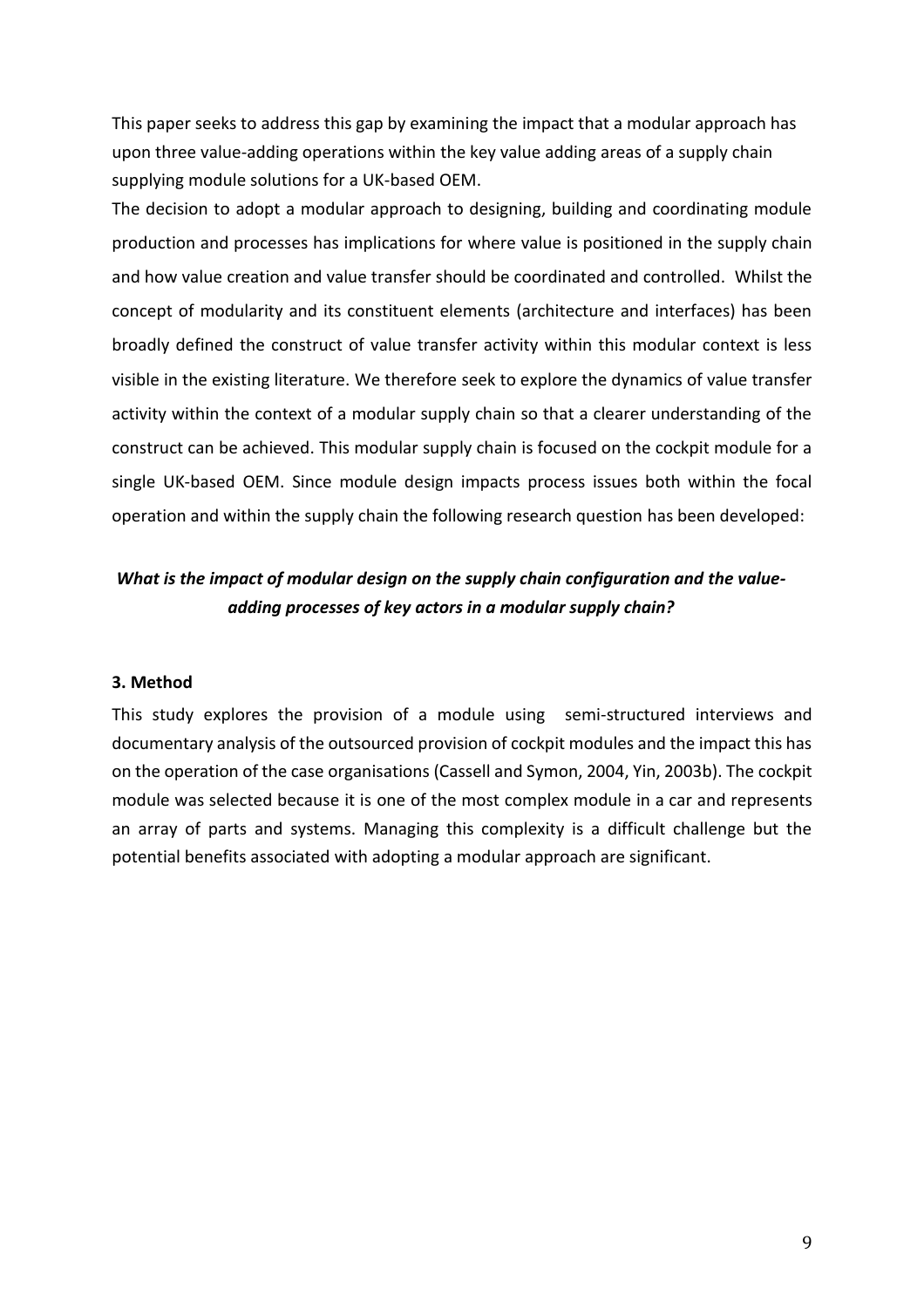This paper seeks to address this gap by examining the impact that a modular approach has upon three value-adding operations within the key value adding areas of a supply chain supplying module solutions for a UK-based OEM.

The decision to adopt a modular approach to designing, building and coordinating module production and processes has implications for where value is positioned in the supply chain and how value creation and value transfer should be coordinated and controlled. Whilst the concept of modularity and its constituent elements (architecture and interfaces) has been broadly defined the construct of value transfer activity within this modular context is less visible in the existing literature. We therefore seek to explore the dynamics of value transfer activity within the context of a modular supply chain so that a clearer understanding of the construct can be achieved. This modular supply chain is focused on the cockpit module for a single UK-based OEM. Since module design impacts process issues both within the focal operation and within the supply chain the following research question has been developed:

#### *What is the impact of modular design on the supply chain configuration and the valueadding processes of key actors in a modular supply chain?*

#### **3. Method**

This study explores the provision of a module using semi-structured interviews and documentary analysis of the outsourced provision of cockpit modules and the impact this has on the operation of the case organisations [\(Cassell and Symon, 2004,](#page--1-12) [Yin, 2003b\)](#page--1-13). The cockpit module was selected because it is one of the most complex module in a car and represents an array of parts and systems. Managing this complexity is a difficult challenge but the potential benefits associated with adopting a modular approach are significant.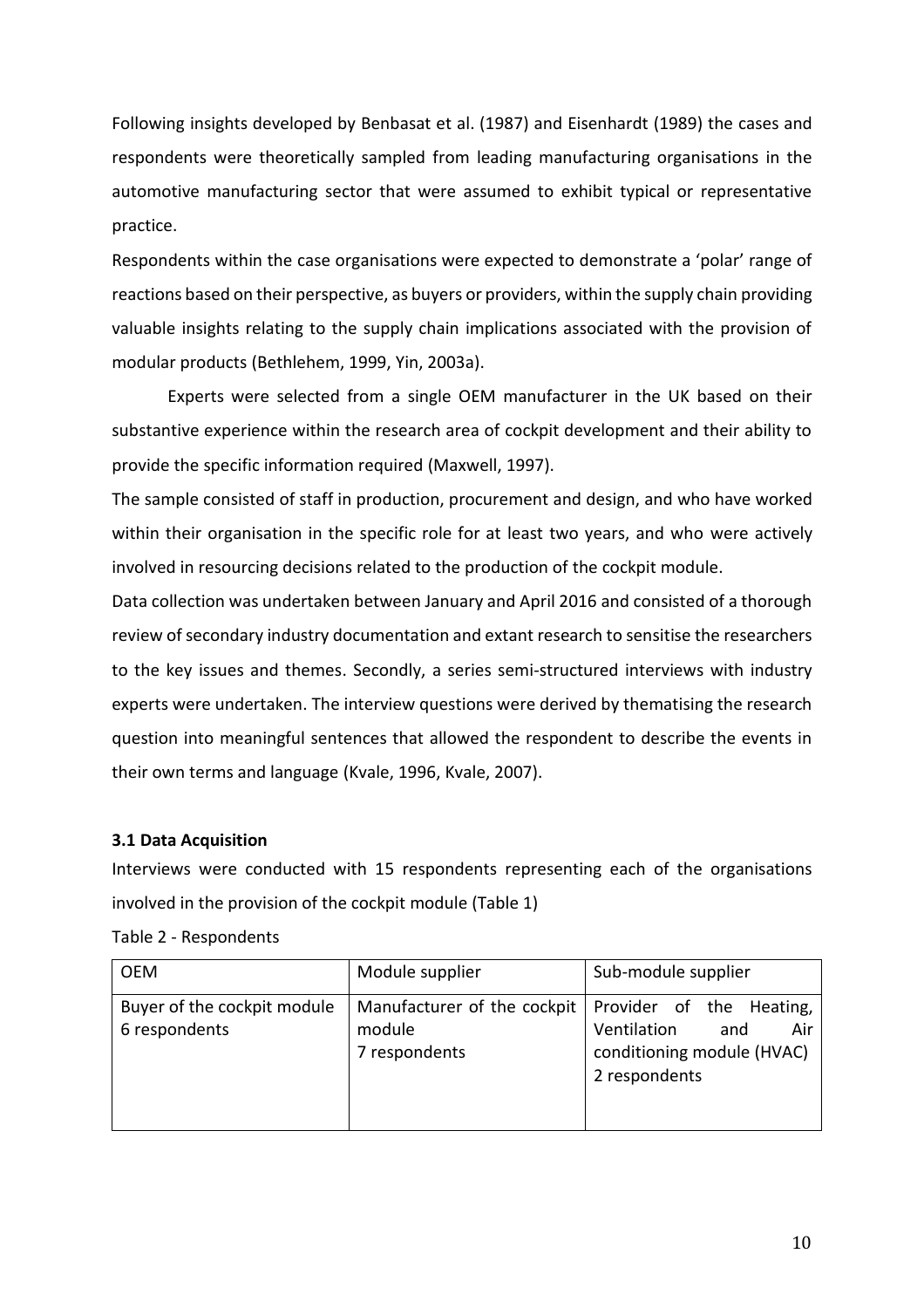Following insights developed by [Benbasat et al. \(1987\)](#page--1-14) and [Eisenhardt \(1989\)](#page--1-15) the cases and respondents were theoretically sampled from leading manufacturing organisations in the automotive manufacturing sector that were assumed to exhibit typical or representative practice.

Respondents within the case organisations were expected to demonstrate a 'polar' range of reactions based on their perspective, as buyers or providers, within the supply chain providing valuable insights relating to the supply chain implications associated with the provision of modular products [\(Bethlehem, 1999,](#page--1-16) [Yin, 2003a\)](#page--1-17).

Experts were selected from a single OEM manufacturer in the UK based on their substantive experience within the research area of cockpit development and their ability to provide the specific information required [\(Maxwell, 1997\)](#page--1-18).

The sample consisted of staff in production, procurement and design, and who have worked within their organisation in the specific role for at least two years, and who were actively involved in resourcing decisions related to the production of the cockpit module.

Data collection was undertaken between January and April 2016 and consisted of a thorough review of secondary industry documentation and extant research to sensitise the researchers to the key issues and themes. Secondly, a series semi-structured interviews with industry experts were undertaken. The interview questions were derived by thematising the research question into meaningful sentences that allowed the respondent to describe the events in their own terms and language [\(Kvale, 1996,](#page--1-19) [Kvale, 2007\)](#page--1-20).

#### **3.1 Data Acquisition**

Interviews were conducted with 15 respondents representing each of the organisations involved in the provision of the cockpit module (Table 1)

Table 2 - Respondents

| <b>OEM</b>                                   | Module supplier                                        | Sub-module supplier                                                                                  |
|----------------------------------------------|--------------------------------------------------------|------------------------------------------------------------------------------------------------------|
| Buyer of the cockpit module<br>6 respondents | Manufacturer of the cockpit<br>module<br>7 respondents | Provider of the Heating,<br>Ventilation<br>Air<br>and<br>conditioning module (HVAC)<br>2 respondents |

10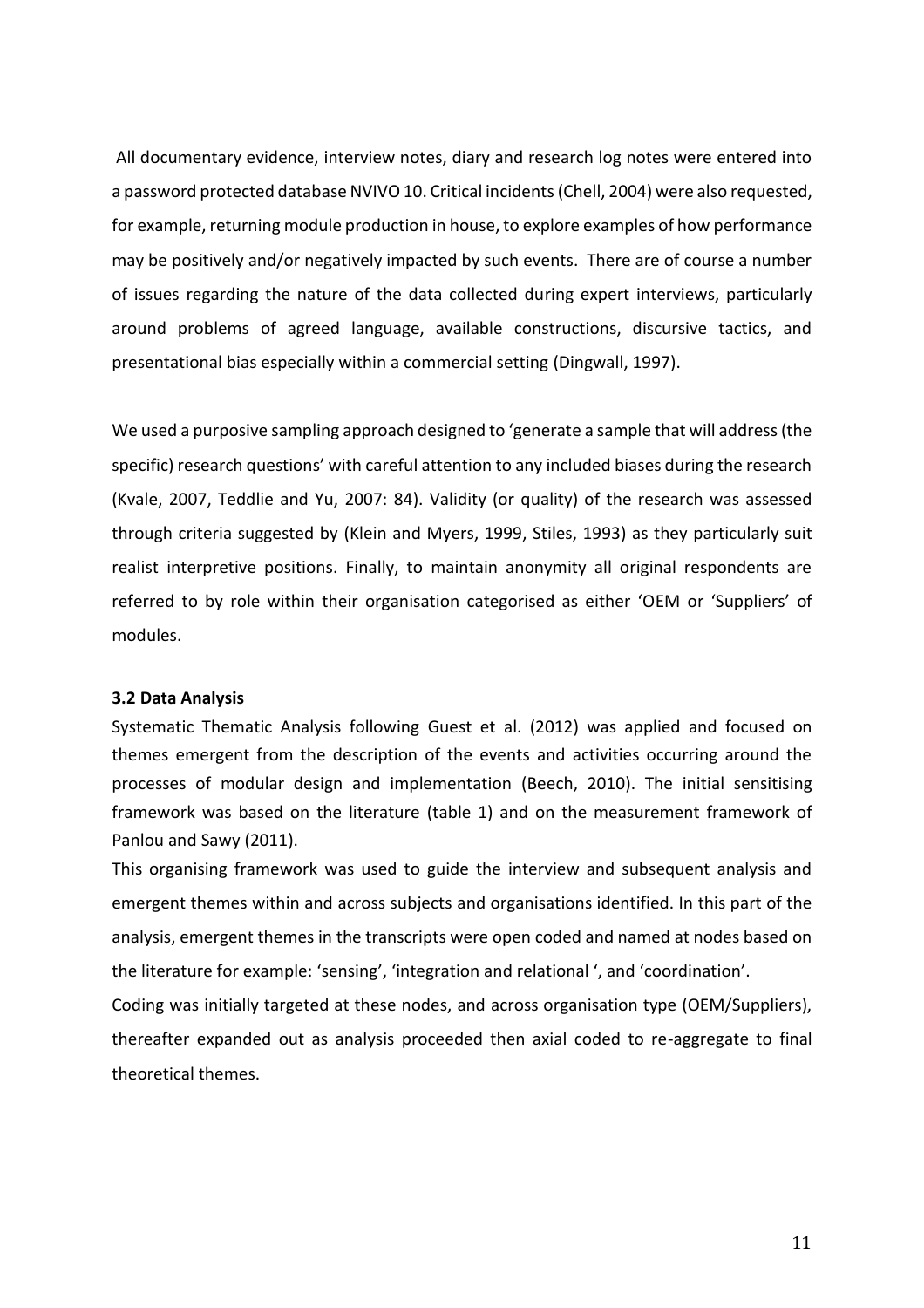All documentary evidence, interview notes, diary and research log notes were entered into a password protected database NVIVO 10. Critical incidents [\(Chell, 2004\)](#page--1-21) were also requested, for example, returning module production in house, to explore examples of how performance may be positively and/or negatively impacted by such events. There are of course a number of issues regarding the nature of the data collected during expert interviews, particularly around problems of agreed language, available constructions, discursive tactics, and presentational bias especially within a commercial setting [\(Dingwall, 1997\)](#page--1-22).

We used a purposive sampling approach designed to 'generate a sample that will address (the specific) research questions' with careful attention to any included biases during the research [\(Kvale, 2007,](#page--1-20) [Teddlie and Yu, 2007: 84\)](#page--1-23). Validity (or quality) of the research was assessed through criteria suggested by [\(Klein and Myers, 1999,](#page--1-24) [Stiles, 1993\)](#page--1-25) as they particularly suit realist interpretive positions. Finally, to maintain anonymity all original respondents are referred to by role within their organisation categorised as either 'OEM or 'Suppliers' of modules.

#### **3.2 Data Analysis**

Systematic Thematic Analysis following [Guest et al. \(2012\)](#page--1-26) was applied and focused on themes emergent from the description of the events and activities occurring around the processes of modular design and implementation [\(Beech, 2010\)](#page--1-27). The initial sensitising framework was based on the literature (table 1) and on the measurement framework of Panlou and Sawy (2011).

This organising framework was used to guide the interview and subsequent analysis and emergent themes within and across subjects and organisations identified. In this part of the analysis, emergent themes in the transcripts were open coded and named at nodes based on the literature for example: 'sensing', 'integration and relational ', and 'coordination'.

Coding was initially targeted at these nodes, and across organisation type (OEM/Suppliers), thereafter expanded out as analysis proceeded then axial coded to re-aggregate to final theoretical themes.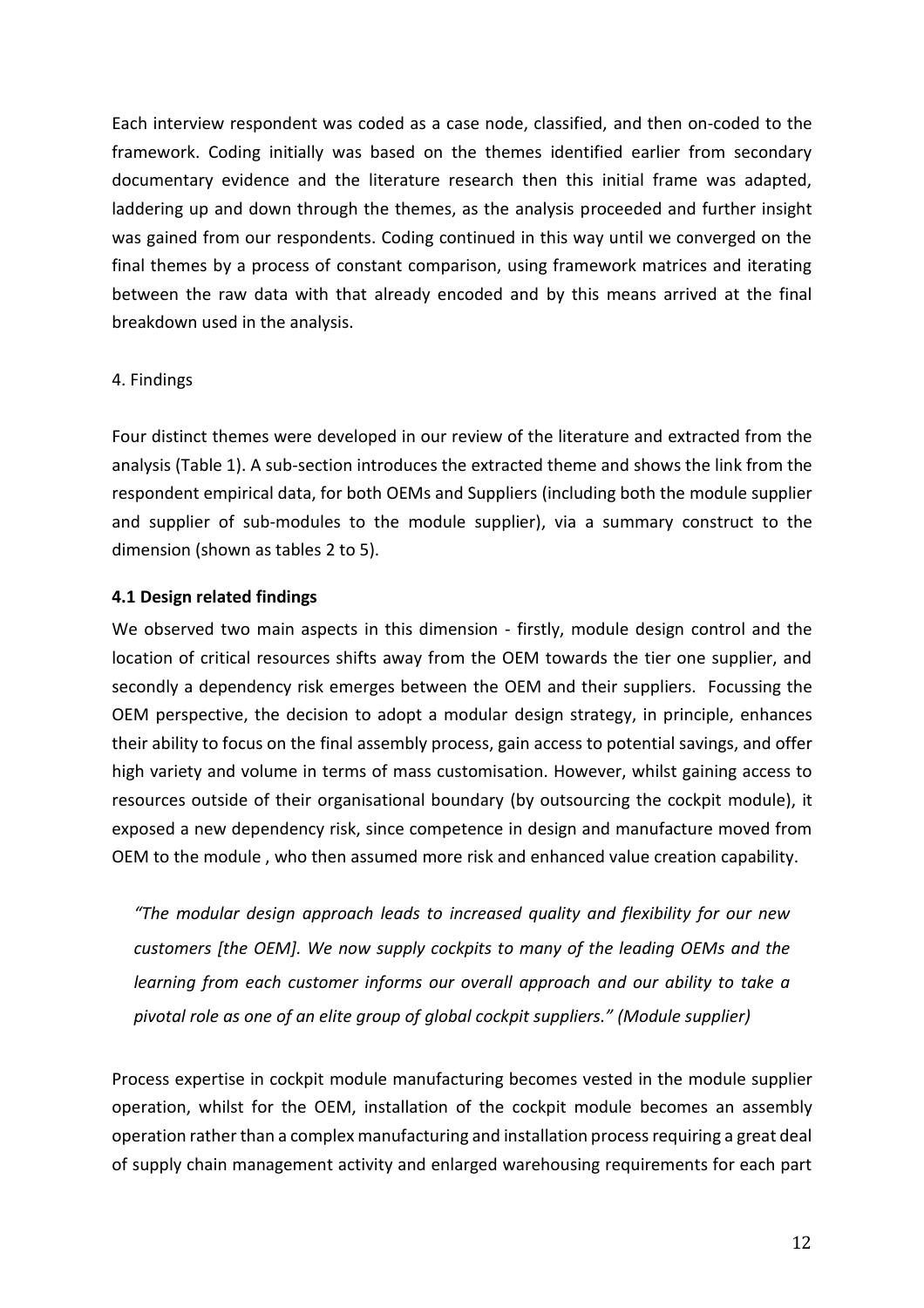Each interview respondent was coded as a case node, classified, and then on-coded to the framework. Coding initially was based on the themes identified earlier from secondary documentary evidence and the literature research then this initial frame was adapted, laddering up and down through the themes, as the analysis proceeded and further insight was gained from our respondents. Coding continued in this way until we converged on the final themes by a process of constant comparison, using framework matrices and iterating between the raw data with that already encoded and by this means arrived at the final breakdown used in the analysis.

#### 4. Findings

Four distinct themes were developed in our review of the literature and extracted from the analysis (Table 1). A sub-section introduces the extracted theme and shows the link from the respondent empirical data, for both OEMs and Suppliers (including both the module supplier and supplier of sub-modules to the module supplier), via a summary construct to the dimension (shown as tables 2 to 5).

#### **4.1 Design related findings**

We observed two main aspects in this dimension - firstly, module design control and the location of critical resources shifts away from the OEM towards the tier one supplier, and secondly a dependency risk emerges between the OEM and their suppliers. Focussing the OEM perspective, the decision to adopt a modular design strategy, in principle, enhances their ability to focus on the final assembly process, gain access to potential savings, and offer high variety and volume in terms of mass customisation. However, whilst gaining access to resources outside of their organisational boundary (by outsourcing the cockpit module), it exposed a new dependency risk, since competence in design and manufacture moved from OEM to the module , who then assumed more risk and enhanced value creation capability.

*"The modular design approach leads to increased quality and flexibility for our new customers [the OEM]. We now supply cockpits to many of the leading OEMs and the learning from each customer informs our overall approach and our ability to take a pivotal role as one of an elite group of global cockpit suppliers." (Module supplier)* 

Process expertise in cockpit module manufacturing becomes vested in the module supplier operation, whilst for the OEM, installation of the cockpit module becomes an assembly operation rather than a complex manufacturing and installation process requiring a great deal of supply chain management activity and enlarged warehousing requirements for each part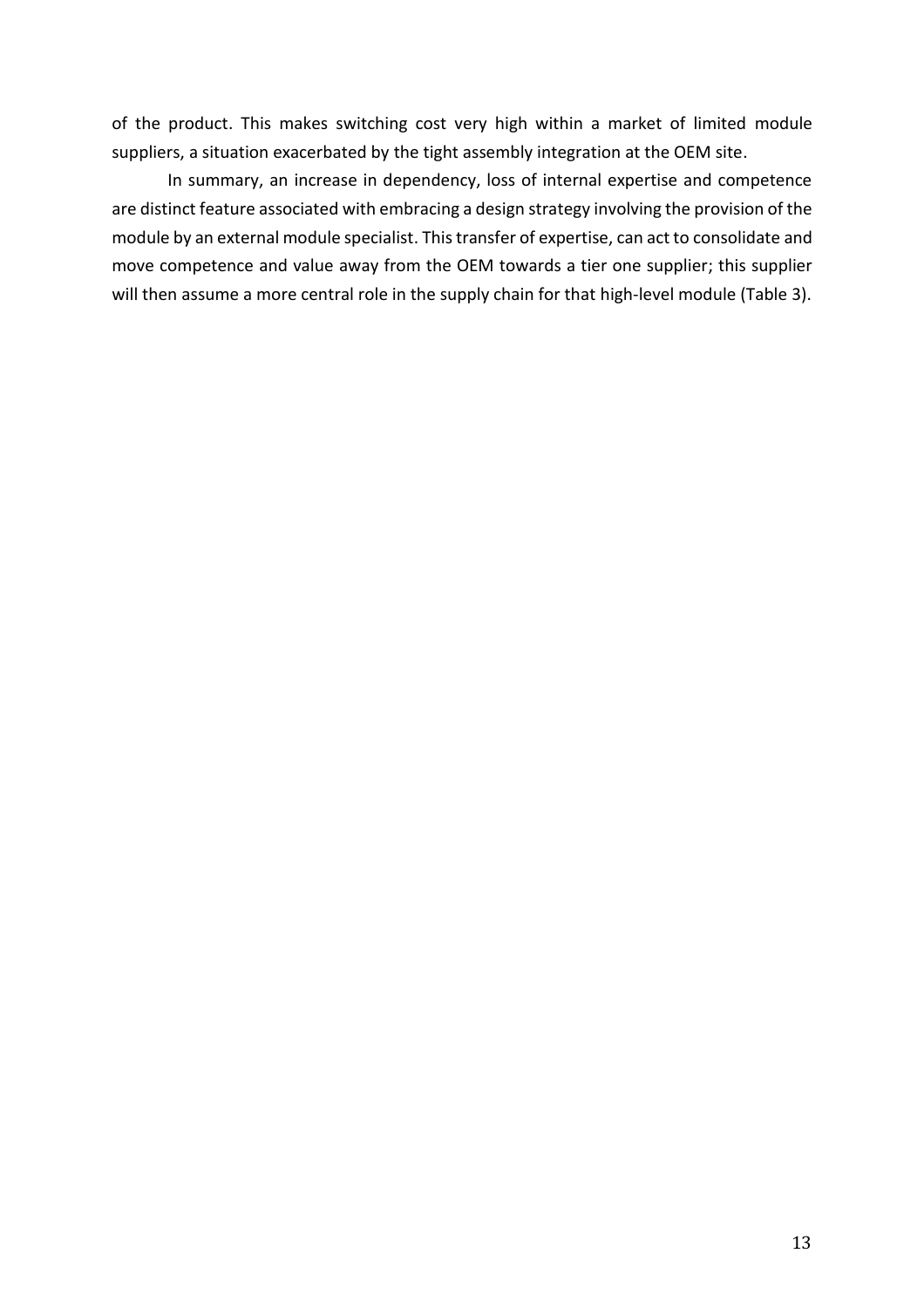of the product. This makes switching cost very high within a market of limited module suppliers, a situation exacerbated by the tight assembly integration at the OEM site.

In summary, an increase in dependency, loss of internal expertise and competence are distinct feature associated with embracing a design strategy involving the provision of the module by an external module specialist. This transfer of expertise, can act to consolidate and move competence and value away from the OEM towards a tier one supplier; this supplier will then assume a more central role in the supply chain for that high-level module (Table 3).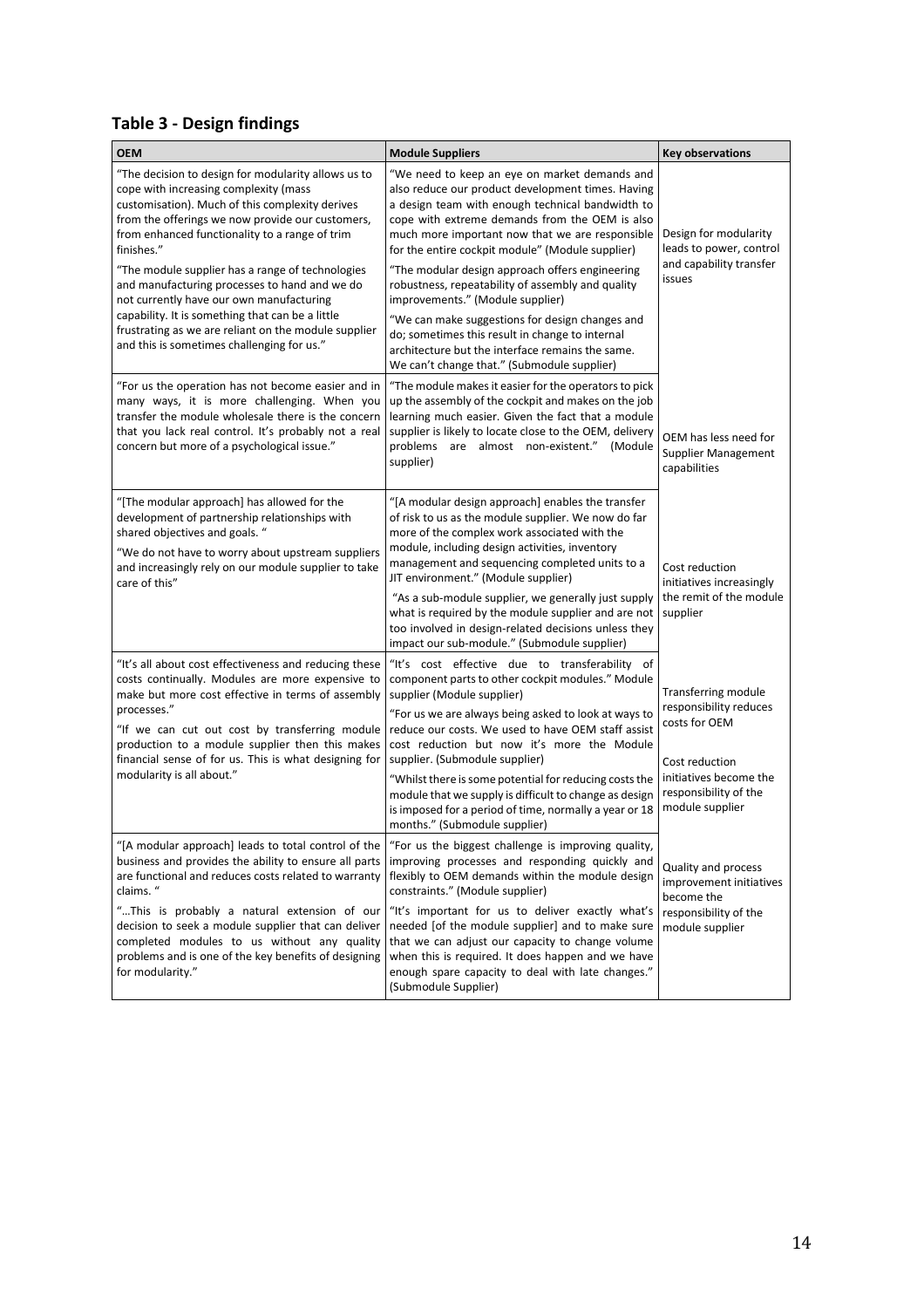## **Table 3 - Design findings**

| <b>OEM</b>                                                                                                                                                                                                                                                                                                                                                                                                                                                                                                                                                                     | <b>Module Suppliers</b>                                                                                                                                                                                                                                                                                                                                                                                                                                                                                                                                                                                                                                              | <b>Key observations</b>                                                                                                                                |
|--------------------------------------------------------------------------------------------------------------------------------------------------------------------------------------------------------------------------------------------------------------------------------------------------------------------------------------------------------------------------------------------------------------------------------------------------------------------------------------------------------------------------------------------------------------------------------|----------------------------------------------------------------------------------------------------------------------------------------------------------------------------------------------------------------------------------------------------------------------------------------------------------------------------------------------------------------------------------------------------------------------------------------------------------------------------------------------------------------------------------------------------------------------------------------------------------------------------------------------------------------------|--------------------------------------------------------------------------------------------------------------------------------------------------------|
| "The decision to design for modularity allows us to<br>cope with increasing complexity (mass<br>customisation). Much of this complexity derives<br>from the offerings we now provide our customers,<br>from enhanced functionality to a range of trim<br>finishes."<br>"The module supplier has a range of technologies<br>and manufacturing processes to hand and we do<br>not currently have our own manufacturing<br>capability. It is something that can be a little<br>frustrating as we are reliant on the module supplier<br>and this is sometimes challenging for us." | "We need to keep an eye on market demands and<br>also reduce our product development times. Having<br>a design team with enough technical bandwidth to<br>cope with extreme demands from the OEM is also<br>much more important now that we are responsible<br>for the entire cockpit module" (Module supplier)<br>"The modular design approach offers engineering<br>robustness, repeatability of assembly and quality<br>improvements." (Module supplier)<br>"We can make suggestions for design changes and<br>do; sometimes this result in change to internal<br>architecture but the interface remains the same.<br>We can't change that." (Submodule supplier) | Design for modularity<br>leads to power, control<br>and capability transfer<br>issues                                                                  |
| "For us the operation has not become easier and in<br>many ways, it is more challenging. When you<br>transfer the module wholesale there is the concern<br>that you lack real control. It's probably not a real<br>concern but more of a psychological issue."                                                                                                                                                                                                                                                                                                                 | "The module makes it easier for the operators to pick<br>up the assembly of the cockpit and makes on the job<br>learning much easier. Given the fact that a module<br>supplier is likely to locate close to the OEM, delivery<br>problems are almost non-existent." (Module<br>supplier)                                                                                                                                                                                                                                                                                                                                                                             | OEM has less need for<br>Supplier Management<br>capabilities                                                                                           |
| "[The modular approach] has allowed for the<br>development of partnership relationships with<br>shared objectives and goals. "<br>"We do not have to worry about upstream suppliers<br>and increasingly rely on our module supplier to take<br>care of this"                                                                                                                                                                                                                                                                                                                   | "[A modular design approach] enables the transfer<br>of risk to us as the module supplier. We now do far<br>more of the complex work associated with the<br>module, including design activities, inventory<br>management and sequencing completed units to a<br>JIT environment." (Module supplier)<br>"As a sub-module supplier, we generally just supply<br>what is required by the module supplier and are not<br>too involved in design-related decisions unless they<br>impact our sub-module." (Submodule supplier)                                                                                                                                            | Cost reduction<br>initiatives increasingly<br>the remit of the module<br>supplier                                                                      |
| "It's all about cost effectiveness and reducing these<br>costs continually. Modules are more expensive to<br>make but more cost effective in terms of assembly<br>processes."<br>"If we can cut out cost by transferring module<br>production to a module supplier then this makes<br>financial sense of for us. This is what designing for<br>modularity is all about."                                                                                                                                                                                                       | "It's cost effective due to transferability of<br>component parts to other cockpit modules." Module<br>supplier (Module supplier)<br>"For us we are always being asked to look at ways to<br>reduce our costs. We used to have OEM staff assist<br>cost reduction but now it's more the Module<br>supplier. (Submodule supplier)<br>"Whilst there is some potential for reducing costs the<br>module that we supply is difficult to change as design<br>is imposed for a period of time, normally a year or 18<br>months." (Submodule supplier)                                                                                                                      | Transferring module<br>responsibility reduces<br>costs for OEM<br>Cost reduction<br>initiatives become the<br>responsibility of the<br>module supplier |
| "[A modular approach] leads to total control of the<br>business and provides the ability to ensure all parts<br>are functional and reduces costs related to warranty<br>claims."<br>"This is probably a natural extension of our<br>decision to seek a module supplier that can deliver<br>completed modules to us without any quality<br>problems and is one of the key benefits of designing<br>for modularity."                                                                                                                                                             | "For us the biggest challenge is improving quality,<br>improving processes and responding quickly and<br>flexibly to OEM demands within the module design<br>constraints." (Module supplier)<br>"It's important for us to deliver exactly what's<br>needed [of the module supplier] and to make sure<br>that we can adjust our capacity to change volume<br>when this is required. It does happen and we have<br>enough spare capacity to deal with late changes."<br>(Submodule Supplier)                                                                                                                                                                           | Quality and process<br>improvement initiatives<br>become the<br>responsibility of the<br>module supplier                                               |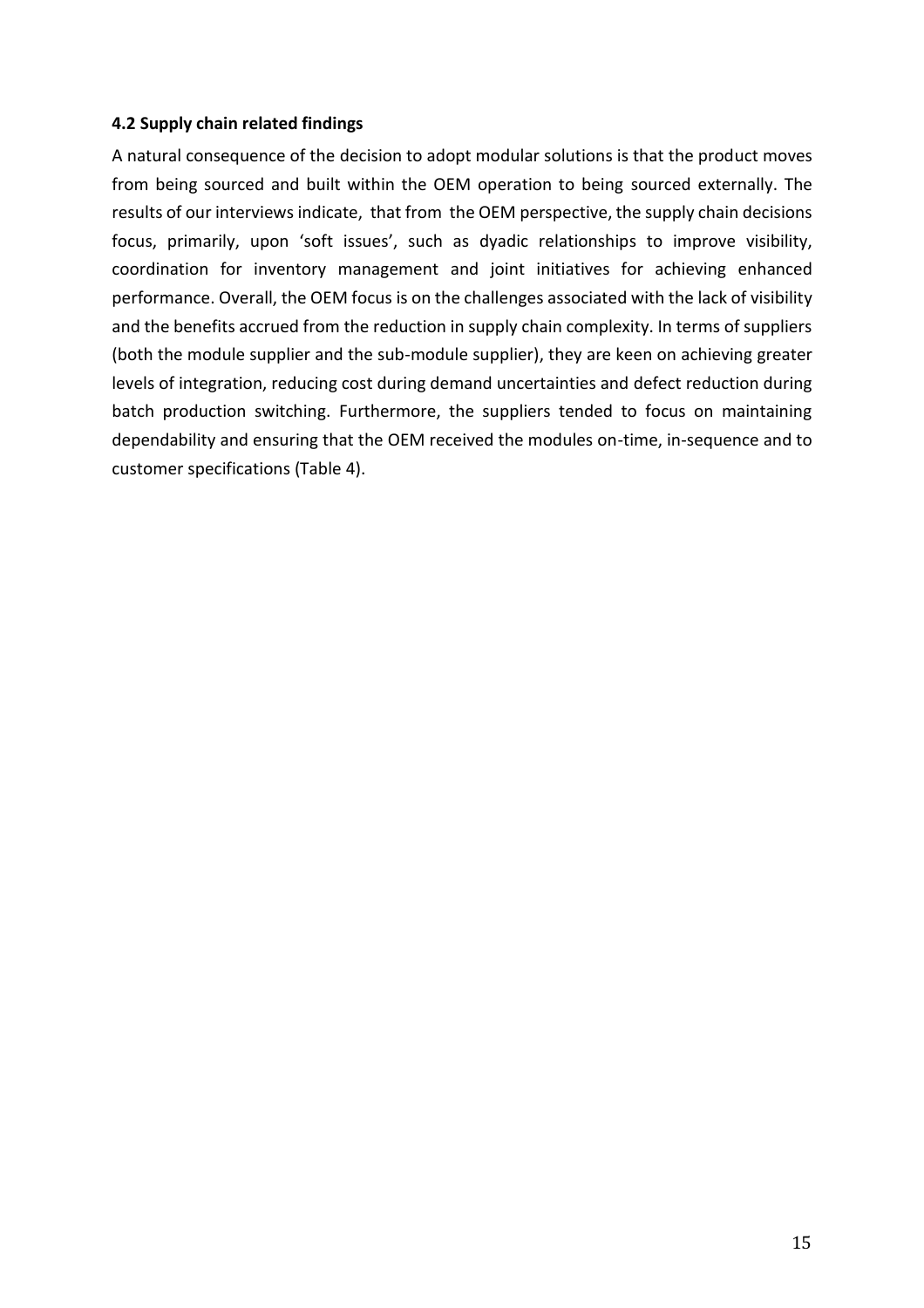#### **4.2 Supply chain related findings**

A natural consequence of the decision to adopt modular solutions is that the product moves from being sourced and built within the OEM operation to being sourced externally. The results of our interviews indicate, that from the OEM perspective, the supply chain decisions focus, primarily, upon 'soft issues', such as dyadic relationships to improve visibility, coordination for inventory management and joint initiatives for achieving enhanced performance. Overall, the OEM focus is on the challenges associated with the lack of visibility and the benefits accrued from the reduction in supply chain complexity. In terms of suppliers (both the module supplier and the sub-module supplier), they are keen on achieving greater levels of integration, reducing cost during demand uncertainties and defect reduction during batch production switching. Furthermore, the suppliers tended to focus on maintaining dependability and ensuring that the OEM received the modules on-time, in-sequence and to customer specifications (Table 4).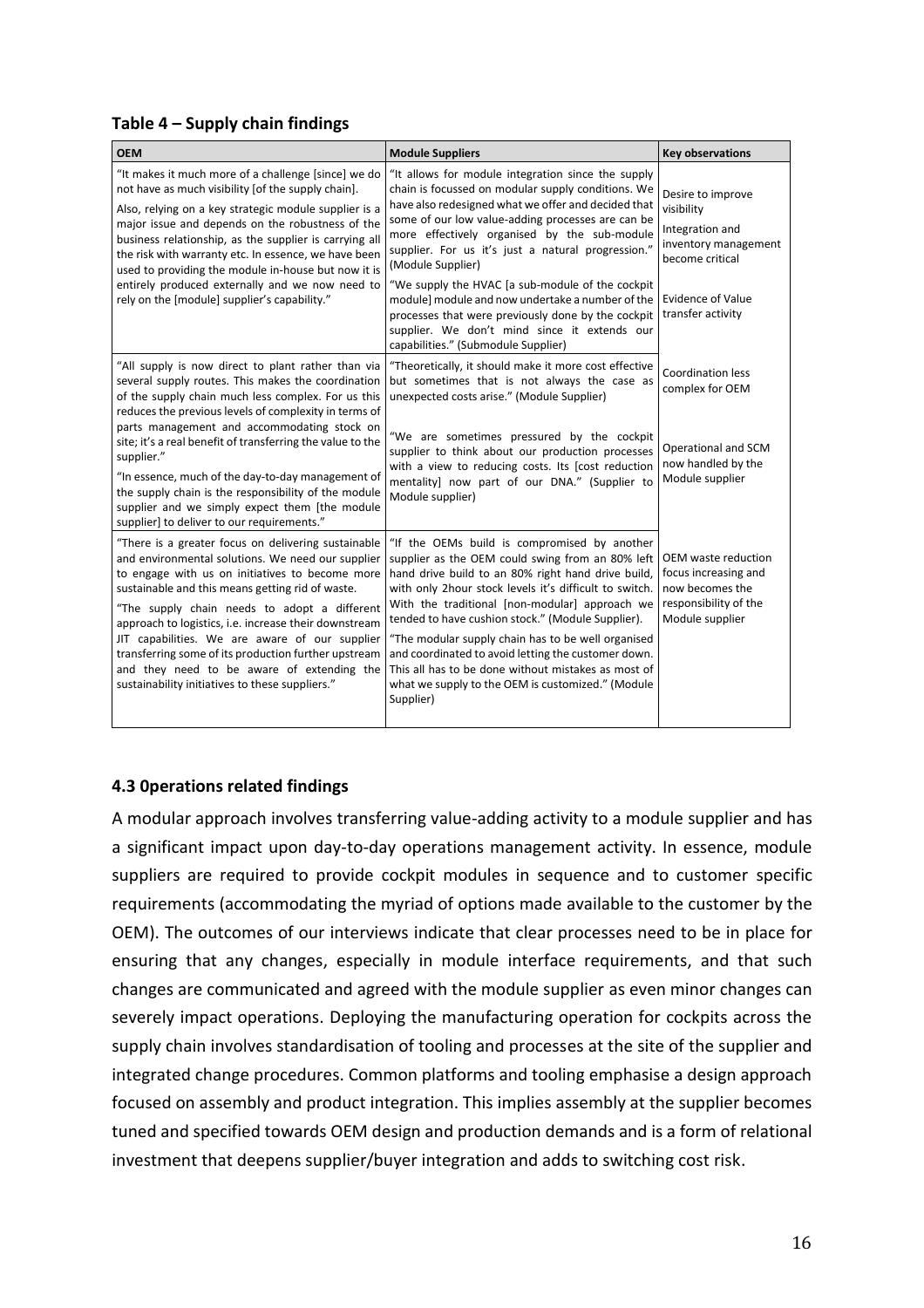#### **Table 4 – Supply chain findings**

| <b>OEM</b>                                                                                                                                                                                                                                                                                                                                                                                                                                                                                                                                                                        | <b>Module Suppliers</b>                                                                                                                                                                                                                                                                                                                                                                                                                                                                                                                                        | <b>Key observations</b>                                                                                                                 |
|-----------------------------------------------------------------------------------------------------------------------------------------------------------------------------------------------------------------------------------------------------------------------------------------------------------------------------------------------------------------------------------------------------------------------------------------------------------------------------------------------------------------------------------------------------------------------------------|----------------------------------------------------------------------------------------------------------------------------------------------------------------------------------------------------------------------------------------------------------------------------------------------------------------------------------------------------------------------------------------------------------------------------------------------------------------------------------------------------------------------------------------------------------------|-----------------------------------------------------------------------------------------------------------------------------------------|
| "It makes it much more of a challenge [since] we do<br>not have as much visibility [of the supply chain].<br>Also, relying on a key strategic module supplier is a<br>major issue and depends on the robustness of the<br>business relationship, as the supplier is carrying all<br>the risk with warranty etc. In essence, we have been<br>used to providing the module in-house but now it is<br>entirely produced externally and we now need to<br>rely on the [module] supplier's capability."                                                                                | "It allows for module integration since the supply<br>chain is focussed on modular supply conditions. We<br>have also redesigned what we offer and decided that<br>some of our low value-adding processes are can be<br>more effectively organised by the sub-module<br>supplier. For us it's just a natural progression."<br>(Module Supplier)<br>"We supply the HVAC [a sub-module of the cockpit"<br>module] module and now undertake a number of the<br>processes that were previously done by the cockpit<br>supplier. We don't mind since it extends our | Desire to improve<br>visibility<br>Integration and<br>inventory management<br>become critical<br>Evidence of Value<br>transfer activity |
| "All supply is now direct to plant rather than via<br>several supply routes. This makes the coordination<br>of the supply chain much less complex. For us this<br>reduces the previous levels of complexity in terms of                                                                                                                                                                                                                                                                                                                                                           | capabilities." (Submodule Supplier)<br>"Theoretically, it should make it more cost effective<br>but sometimes that is not always the case as<br>unexpected costs arise." (Module Supplier)                                                                                                                                                                                                                                                                                                                                                                     | <b>Coordination less</b><br>complex for OEM                                                                                             |
| parts management and accommodating stock on<br>site; it's a real benefit of transferring the value to the<br>supplier."<br>"In essence, much of the day-to-day management of<br>the supply chain is the responsibility of the module<br>supplier and we simply expect them [the module                                                                                                                                                                                                                                                                                            | "We are sometimes pressured by the cockpit<br>supplier to think about our production processes<br>with a view to reducing costs. Its [cost reduction<br>mentality] now part of our DNA." (Supplier to<br>Module supplier)                                                                                                                                                                                                                                                                                                                                      | Operational and SCM<br>now handled by the<br>Module supplier                                                                            |
| supplier] to deliver to our requirements."<br>"There is a greater focus on delivering sustainable<br>and environmental solutions. We need our supplier<br>to engage with us on initiatives to become more<br>sustainable and this means getting rid of waste.<br>"The supply chain needs to adopt a different<br>approach to logistics, i.e. increase their downstream<br>JIT capabilities. We are aware of our supplier<br>transferring some of its production further upstream<br>and they need to be aware of extending the<br>sustainability initiatives to these suppliers." | "If the OEMs build is compromised by another<br>supplier as the OEM could swing from an 80% left<br>hand drive build to an 80% right hand drive build,<br>with only 2hour stock levels it's difficult to switch.<br>With the traditional [non-modular] approach we<br>tended to have cushion stock." (Module Supplier).<br>"The modular supply chain has to be well organised<br>and coordinated to avoid letting the customer down.<br>This all has to be done without mistakes as most of<br>what we supply to the OEM is customized." (Module<br>Supplier)  | OEM waste reduction<br>focus increasing and<br>now becomes the<br>responsibility of the<br>Module supplier                              |

#### **4.3 0perations related findings**

A modular approach involves transferring value-adding activity to a module supplier and has a significant impact upon day-to-day operations management activity. In essence, module suppliers are required to provide cockpit modules in sequence and to customer specific requirements (accommodating the myriad of options made available to the customer by the OEM). The outcomes of our interviews indicate that clear processes need to be in place for ensuring that any changes, especially in module interface requirements, and that such changes are communicated and agreed with the module supplier as even minor changes can severely impact operations. Deploying the manufacturing operation for cockpits across the supply chain involves standardisation of tooling and processes at the site of the supplier and integrated change procedures. Common platforms and tooling emphasise a design approach focused on assembly and product integration. This implies assembly at the supplier becomes tuned and specified towards OEM design and production demands and is a form of relational investment that deepens supplier/buyer integration and adds to switching cost risk.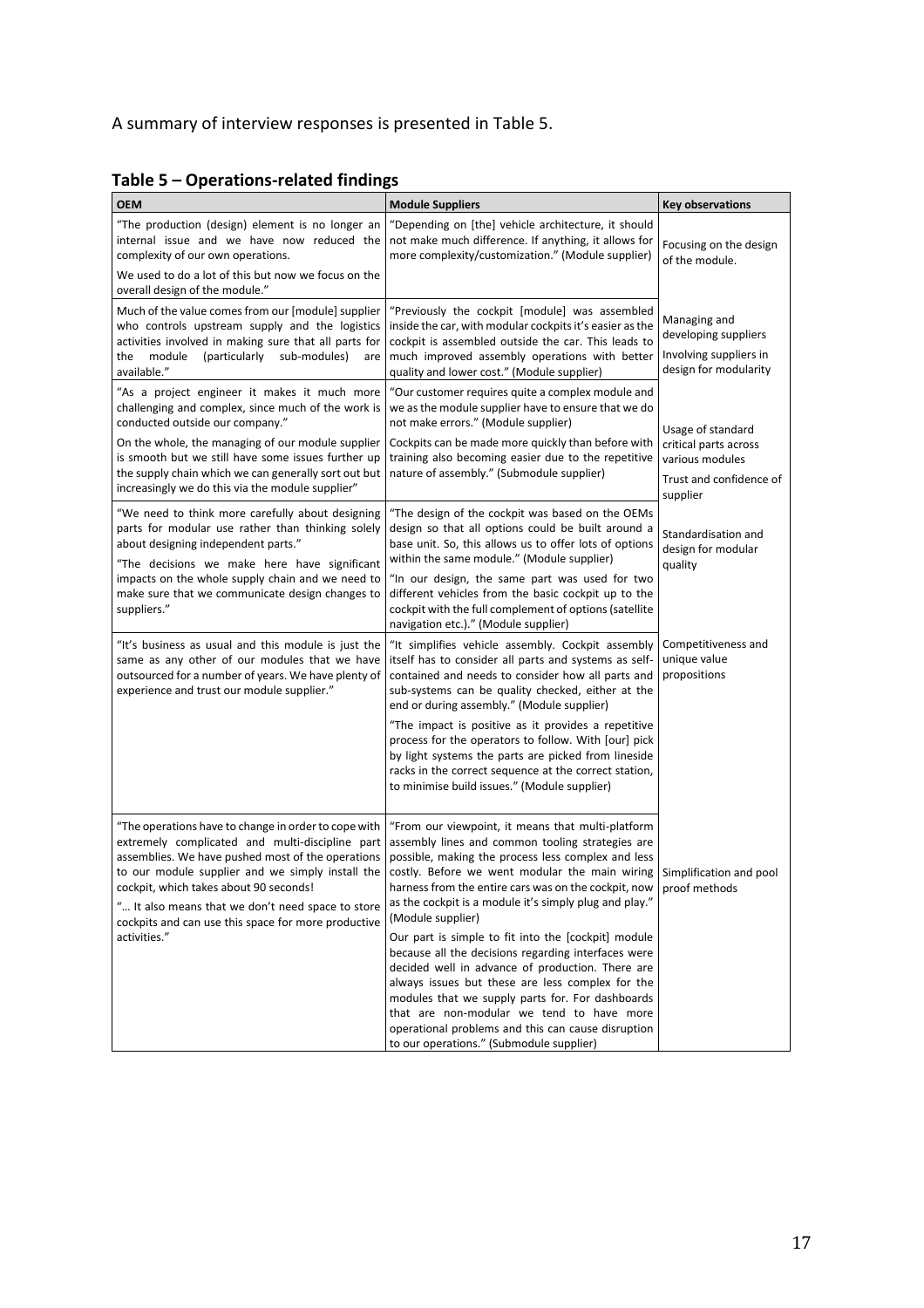## A summary of interview responses is presented in Table 5.

#### **Table 5 – Operations-related findings**

| <b>OEM</b>                                                                                                                                                                                                                                                                                                                                                             | <b>Module Suppliers</b>                                                                                                                                                                                                                                                                                                                                                                                               | <b>Key observations</b>                                                                 |
|------------------------------------------------------------------------------------------------------------------------------------------------------------------------------------------------------------------------------------------------------------------------------------------------------------------------------------------------------------------------|-----------------------------------------------------------------------------------------------------------------------------------------------------------------------------------------------------------------------------------------------------------------------------------------------------------------------------------------------------------------------------------------------------------------------|-----------------------------------------------------------------------------------------|
| "The production (design) element is no longer an<br>internal issue and we have now reduced the<br>complexity of our own operations.                                                                                                                                                                                                                                    | "Depending on [the] vehicle architecture, it should<br>not make much difference. If anything, it allows for<br>more complexity/customization." (Module supplier)                                                                                                                                                                                                                                                      | Focusing on the design<br>of the module.                                                |
| We used to do a lot of this but now we focus on the<br>overall design of the module."                                                                                                                                                                                                                                                                                  |                                                                                                                                                                                                                                                                                                                                                                                                                       |                                                                                         |
| Much of the value comes from our [module] supplier<br>who controls upstream supply and the logistics<br>activities involved in making sure that all parts for<br>module<br>(particularly<br>sub-modules)<br>the<br>are<br>available."                                                                                                                                  | "Previously the cockpit [module] was assembled<br>inside the car, with modular cockpits it's easier as the<br>cockpit is assembled outside the car. This leads to<br>much improved assembly operations with better<br>quality and lower cost." (Module supplier)                                                                                                                                                      | Managing and<br>developing suppliers<br>Involving suppliers in<br>design for modularity |
| "As a project engineer it makes it much more<br>challenging and complex, since much of the work is<br>conducted outside our company."                                                                                                                                                                                                                                  | "Our customer requires quite a complex module and<br>we as the module supplier have to ensure that we do<br>not make errors." (Module supplier)                                                                                                                                                                                                                                                                       | Usage of standard                                                                       |
| On the whole, the managing of our module supplier<br>is smooth but we still have some issues further up<br>the supply chain which we can generally sort out but                                                                                                                                                                                                        | Cockpits can be made more quickly than before with<br>training also becoming easier due to the repetitive<br>nature of assembly." (Submodule supplier)                                                                                                                                                                                                                                                                | critical parts across<br>various modules                                                |
| increasingly we do this via the module supplier"                                                                                                                                                                                                                                                                                                                       |                                                                                                                                                                                                                                                                                                                                                                                                                       | Trust and confidence of<br>supplier                                                     |
| "We need to think more carefully about designing<br>parts for modular use rather than thinking solely<br>about designing independent parts."<br>"The decisions we make here have significant                                                                                                                                                                           | "The design of the cockpit was based on the OEMs<br>design so that all options could be built around a<br>base unit. So, this allows us to offer lots of options<br>within the same module." (Module supplier)                                                                                                                                                                                                        | Standardisation and<br>design for modular<br>quality                                    |
| impacts on the whole supply chain and we need to<br>make sure that we communicate design changes to<br>suppliers."                                                                                                                                                                                                                                                     | "In our design, the same part was used for two<br>different vehicles from the basic cockpit up to the<br>cockpit with the full complement of options (satellite<br>navigation etc.)." (Module supplier)                                                                                                                                                                                                               |                                                                                         |
| "It's business as usual and this module is just the<br>same as any other of our modules that we have<br>outsourced for a number of years. We have plenty of<br>experience and trust our module supplier."                                                                                                                                                              | "It simplifies vehicle assembly. Cockpit assembly<br>itself has to consider all parts and systems as self-<br>contained and needs to consider how all parts and<br>sub-systems can be quality checked, either at the<br>end or during assembly." (Module supplier)                                                                                                                                                    | Competitiveness and<br>unique value<br>propositions                                     |
|                                                                                                                                                                                                                                                                                                                                                                        | "The impact is positive as it provides a repetitive<br>process for the operators to follow. With [our] pick<br>by light systems the parts are picked from lineside<br>racks in the correct sequence at the correct station,<br>to minimise build issues." (Module supplier)                                                                                                                                           |                                                                                         |
| "The operations have to change in order to cope with<br>extremely complicated and multi-discipline part<br>assemblies. We have pushed most of the operations<br>to our module supplier and we simply install the<br>cockpit, which takes about 90 seconds!<br>" It also means that we don't need space to store<br>cockpits and can use this space for more productive | "From our viewpoint, it means that multi-platform<br>assembly lines and common tooling strategies are<br>possible, making the process less complex and less<br>costly. Before we went modular the main wiring<br>harness from the entire cars was on the cockpit, now<br>as the cockpit is a module it's simply plug and play."<br>(Module supplier)                                                                  | Simplification and pool<br>proof methods                                                |
| activities."                                                                                                                                                                                                                                                                                                                                                           | Our part is simple to fit into the [cockpit] module<br>because all the decisions regarding interfaces were<br>decided well in advance of production. There are<br>always issues but these are less complex for the<br>modules that we supply parts for. For dashboards<br>that are non-modular we tend to have more<br>operational problems and this can cause disruption<br>to our operations." (Submodule supplier) |                                                                                         |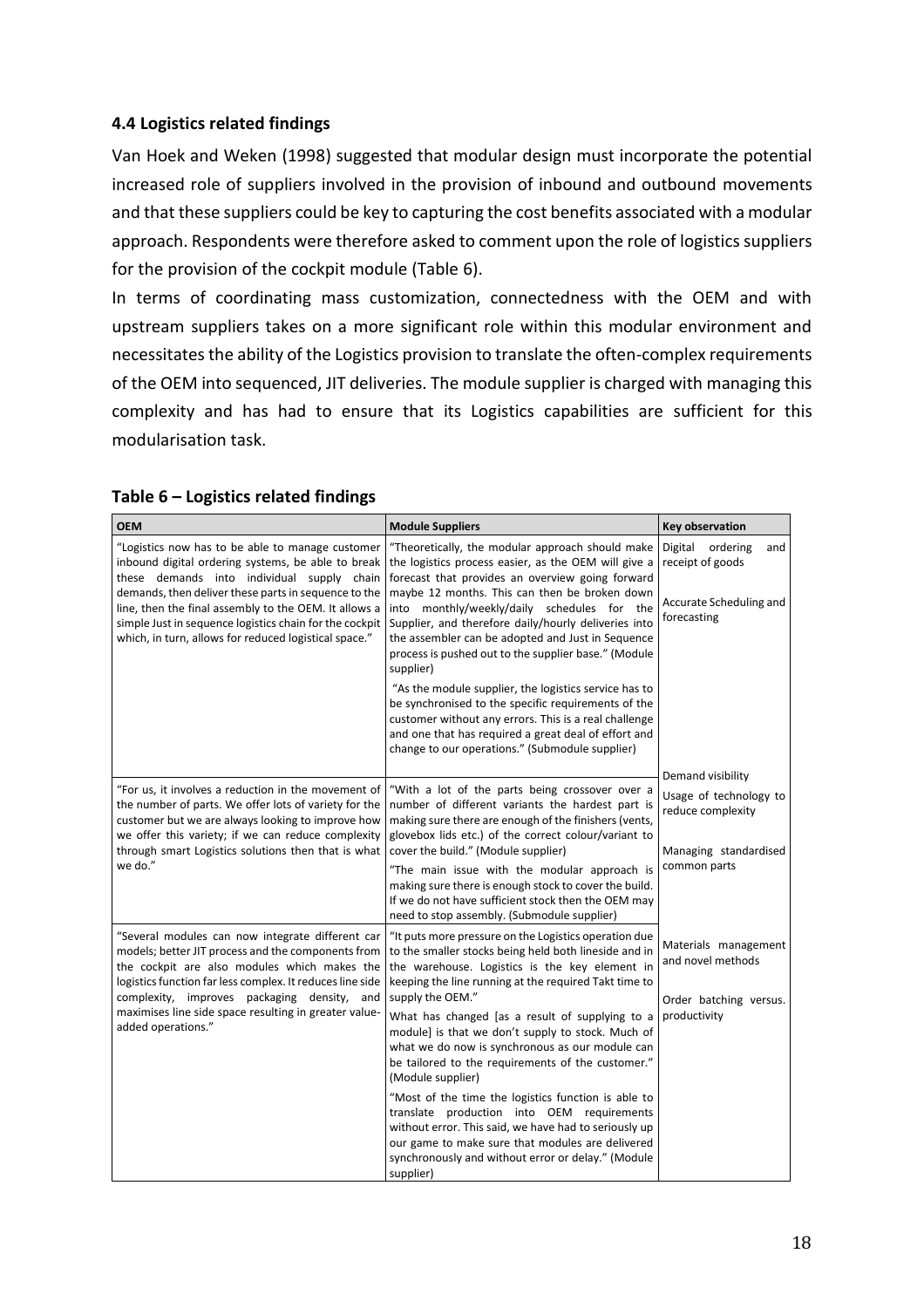#### **4.4 Logistics related findings**

[Van Hoek and Weken \(1998\)](#page--1-11) suggested that modular design must incorporate the potential increased role of suppliers involved in the provision of inbound and outbound movements and that these suppliers could be key to capturing the cost benefits associated with a modular approach. Respondents were therefore asked to comment upon the role of logistics suppliers for the provision of the cockpit module (Table 6).

In terms of coordinating mass customization, connectedness with the OEM and with upstream suppliers takes on a more significant role within this modular environment and necessitates the ability of the Logistics provision to translate the often-complex requirements of the OEM into sequenced, JIT deliveries. The module supplier is charged with managing this complexity and has had to ensure that its Logistics capabilities are sufficient for this modularisation task.

| <b>OEM</b>                                                                                                                                                                                                                                                                                                                                                                                | <b>Module Suppliers</b>                                                                                                                                                                                                                                                                                                                                                                                                                                                            | <b>Key observation</b>                                                                                    |
|-------------------------------------------------------------------------------------------------------------------------------------------------------------------------------------------------------------------------------------------------------------------------------------------------------------------------------------------------------------------------------------------|------------------------------------------------------------------------------------------------------------------------------------------------------------------------------------------------------------------------------------------------------------------------------------------------------------------------------------------------------------------------------------------------------------------------------------------------------------------------------------|-----------------------------------------------------------------------------------------------------------|
| "Logistics now has to be able to manage customer<br>inbound digital ordering systems, be able to break<br>these demands into individual supply chain<br>demands, then deliver these parts in sequence to the<br>line, then the final assembly to the OEM. It allows a<br>simple Just in sequence logistics chain for the cockpit<br>which, in turn, allows for reduced logistical space." | "Theoretically, the modular approach should make<br>the logistics process easier, as the OEM will give a<br>forecast that provides an overview going forward<br>maybe 12 months. This can then be broken down<br>into monthly/weekly/daily schedules for the<br>Supplier, and therefore daily/hourly deliveries into<br>the assembler can be adopted and Just in Sequence<br>process is pushed out to the supplier base." (Module<br>supplier)                                     | Digital ordering<br>and<br>receipt of goods<br>Accurate Scheduling and<br>forecasting                     |
|                                                                                                                                                                                                                                                                                                                                                                                           | "As the module supplier, the logistics service has to<br>be synchronised to the specific requirements of the<br>customer without any errors. This is a real challenge<br>and one that has required a great deal of effort and<br>change to our operations." (Submodule supplier)                                                                                                                                                                                                   |                                                                                                           |
| "For us, it involves a reduction in the movement of<br>the number of parts. We offer lots of variety for the<br>customer but we are always looking to improve how<br>we offer this variety; if we can reduce complexity<br>through smart Logistics solutions then that is what<br>we do."                                                                                                 | "With a lot of the parts being crossover over a<br>number of different variants the hardest part is<br>making sure there are enough of the finishers (vents,<br>glovebox lids etc.) of the correct colour/variant to<br>cover the build." (Module supplier)<br>"The main issue with the modular approach is<br>making sure there is enough stock to cover the build.<br>If we do not have sufficient stock then the OEM may<br>need to stop assembly. (Submodule supplier)         | Demand visibility<br>Usage of technology to<br>reduce complexity<br>Managing standardised<br>common parts |
| "Several modules can now integrate different car<br>models; better JIT process and the components from<br>the cockpit are also modules which makes the<br>logistics function far less complex. It reduces line side<br>complexity, improves packaging density, and<br>maximises line side space resulting in greater value-<br>added operations."                                         | "It puts more pressure on the Logistics operation due<br>to the smaller stocks being held both lineside and in<br>the warehouse. Logistics is the key element in<br>keeping the line running at the required Takt time to<br>supply the OEM."<br>What has changed [as a result of supplying to a<br>module] is that we don't supply to stock. Much of<br>what we do now is synchronous as our module can<br>be tailored to the requirements of the customer."<br>(Module supplier) | Materials management<br>and novel methods<br>Order batching versus.<br>productivity                       |
|                                                                                                                                                                                                                                                                                                                                                                                           | "Most of the time the logistics function is able to<br>translate production into OEM requirements<br>without error. This said, we have had to seriously up<br>our game to make sure that modules are delivered<br>synchronously and without error or delay." (Module<br>supplier)                                                                                                                                                                                                  |                                                                                                           |

#### **Table 6 – Logistics related findings**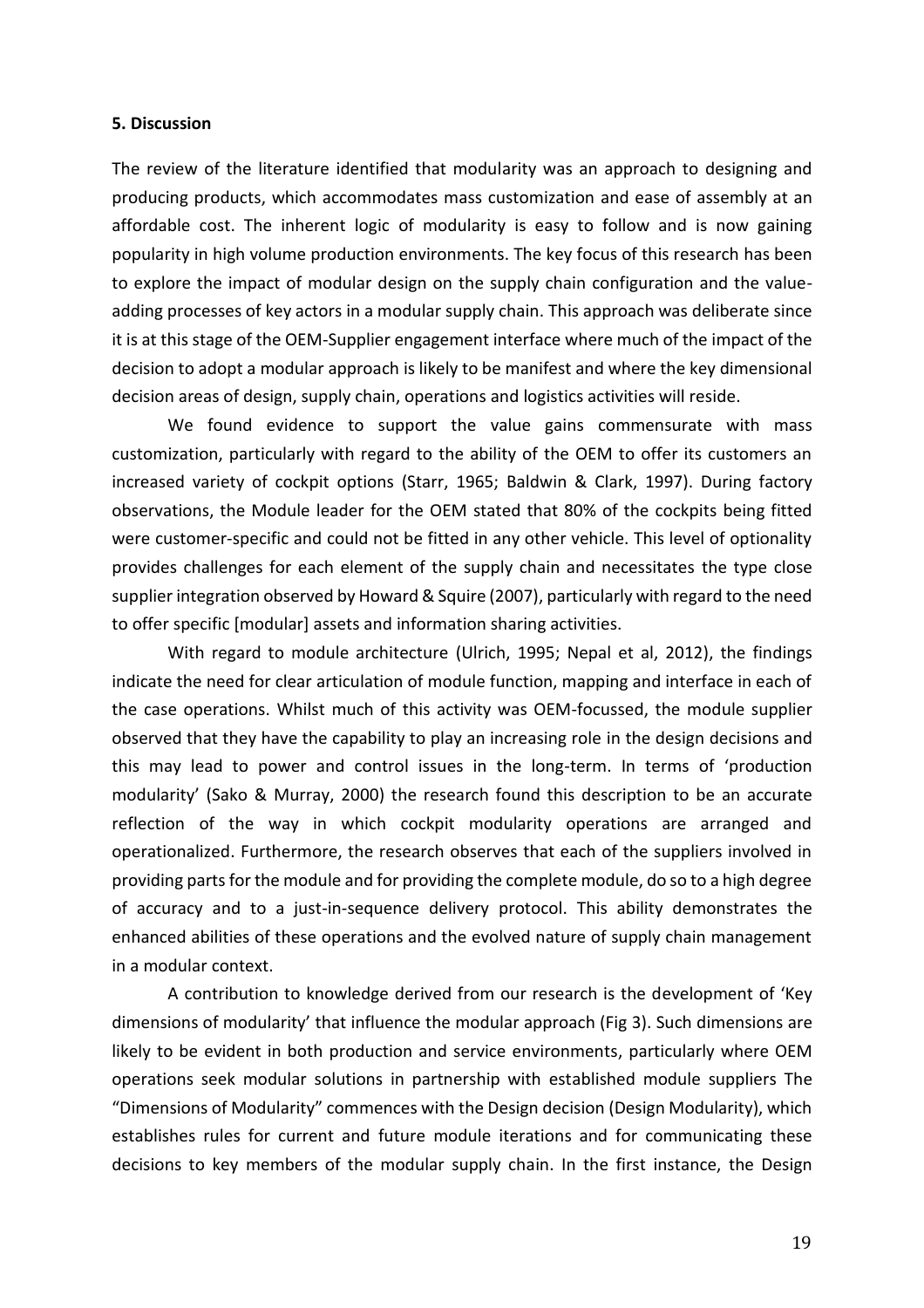#### **5. Discussion**

The review of the literature identified that modularity was an approach to designing and producing products, which accommodates mass customization and ease of assembly at an affordable cost. The inherent logic of modularity is easy to follow and is now gaining popularity in high volume production environments. The key focus of this research has been to explore the impact of modular design on the supply chain configuration and the valueadding processes of key actors in a modular supply chain. This approach was deliberate since it is at this stage of the OEM-Supplier engagement interface where much of the impact of the decision to adopt a modular approach is likely to be manifest and where the key dimensional decision areas of design, supply chain, operations and logistics activities will reside.

We found evidence to support the value gains commensurate with mass customization, particularly with regard to the ability of the OEM to offer its customers an increased variety of cockpit options (Starr, 1965; Baldwin & Clark, 1997). During factory observations, the Module leader for the OEM stated that 80% of the cockpits being fitted were customer-specific and could not be fitted in any other vehicle. This level of optionality provides challenges for each element of the supply chain and necessitates the type close supplier integration observed by Howard & Squire (2007), particularly with regard to the need to offer specific [modular] assets and information sharing activities.

With regard to module architecture (Ulrich, 1995; Nepal et al, 2012), the findings indicate the need for clear articulation of module function, mapping and interface in each of the case operations. Whilst much of this activity was OEM-focussed, the module supplier observed that they have the capability to play an increasing role in the design decisions and this may lead to power and control issues in the long-term. In terms of 'production modularity' (Sako & Murray, 2000) the research found this description to be an accurate reflection of the way in which cockpit modularity operations are arranged and operationalized. Furthermore, the research observes that each of the suppliers involved in providing parts for the module and for providing the complete module, do so to a high degree of accuracy and to a just-in-sequence delivery protocol. This ability demonstrates the enhanced abilities of these operations and the evolved nature of supply chain management in a modular context.

A contribution to knowledge derived from our research is the development of 'Key dimensions of modularity' that influence the modular approach (Fig 3). Such dimensions are likely to be evident in both production and service environments, particularly where OEM operations seek modular solutions in partnership with established module suppliers The "Dimensions of Modularity" commences with the Design decision (Design Modularity), which establishes rules for current and future module iterations and for communicating these decisions to key members of the modular supply chain. In the first instance, the Design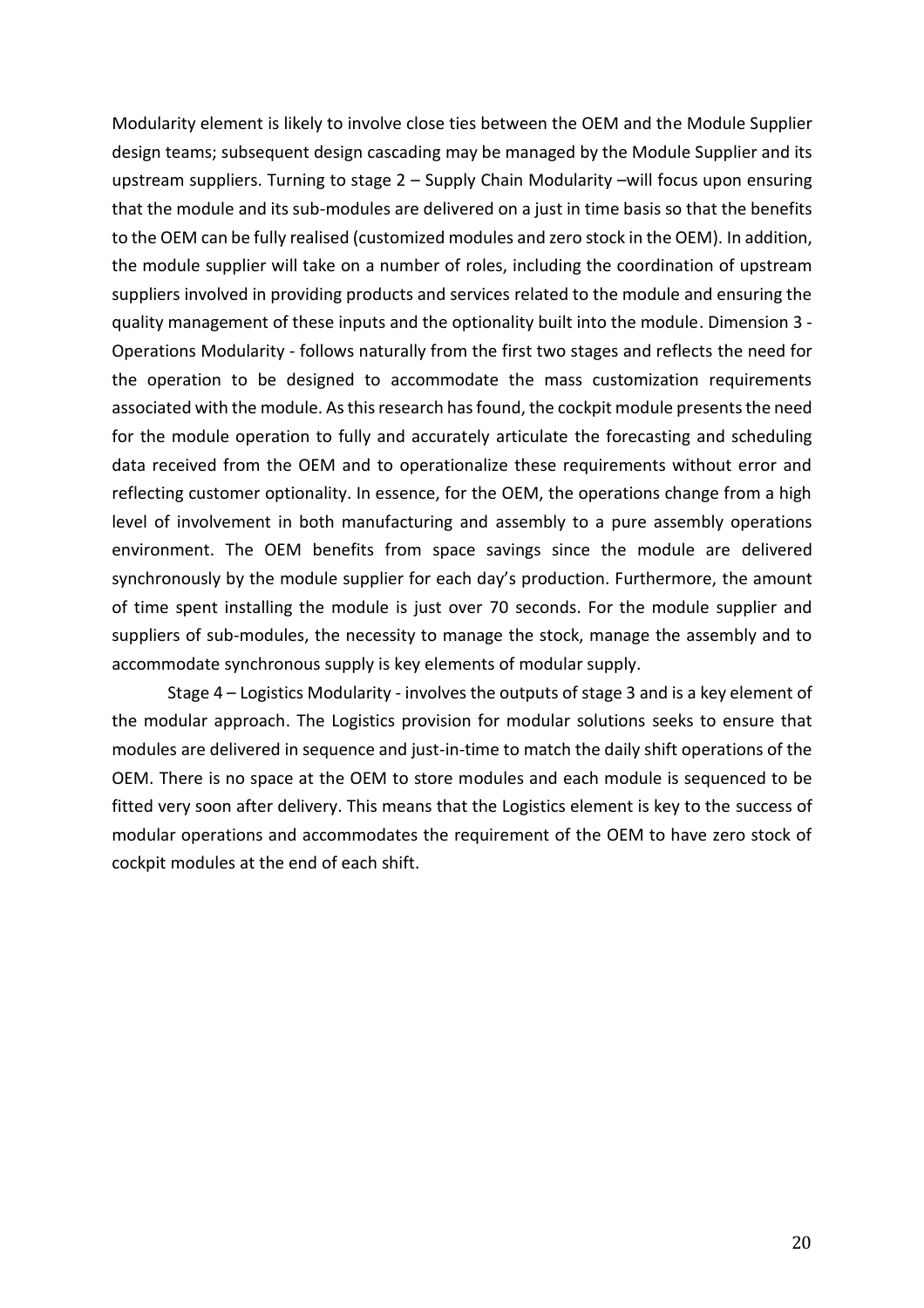Modularity element is likely to involve close ties between the OEM and the Module Supplier design teams; subsequent design cascading may be managed by the Module Supplier and its upstream suppliers. Turning to stage 2 – Supply Chain Modularity –will focus upon ensuring that the module and its sub-modules are delivered on a just in time basis so that the benefits to the OEM can be fully realised (customized modules and zero stock in the OEM). In addition, the module supplier will take on a number of roles, including the coordination of upstream suppliers involved in providing products and services related to the module and ensuring the quality management of these inputs and the optionality built into the module. Dimension 3 - Operations Modularity - follows naturally from the first two stages and reflects the need for the operation to be designed to accommodate the mass customization requirements associated with the module. As this research has found, the cockpit module presents the need for the module operation to fully and accurately articulate the forecasting and scheduling data received from the OEM and to operationalize these requirements without error and reflecting customer optionality. In essence, for the OEM, the operations change from a high level of involvement in both manufacturing and assembly to a pure assembly operations environment. The OEM benefits from space savings since the module are delivered synchronously by the module supplier for each day's production. Furthermore, the amount of time spent installing the module is just over 70 seconds. For the module supplier and suppliers of sub-modules, the necessity to manage the stock, manage the assembly and to accommodate synchronous supply is key elements of modular supply.

Stage 4 – Logistics Modularity - involves the outputs of stage 3 and is a key element of the modular approach. The Logistics provision for modular solutions seeks to ensure that modules are delivered in sequence and just-in-time to match the daily shift operations of the OEM. There is no space at the OEM to store modules and each module is sequenced to be fitted very soon after delivery. This means that the Logistics element is key to the success of modular operations and accommodates the requirement of the OEM to have zero stock of cockpit modules at the end of each shift.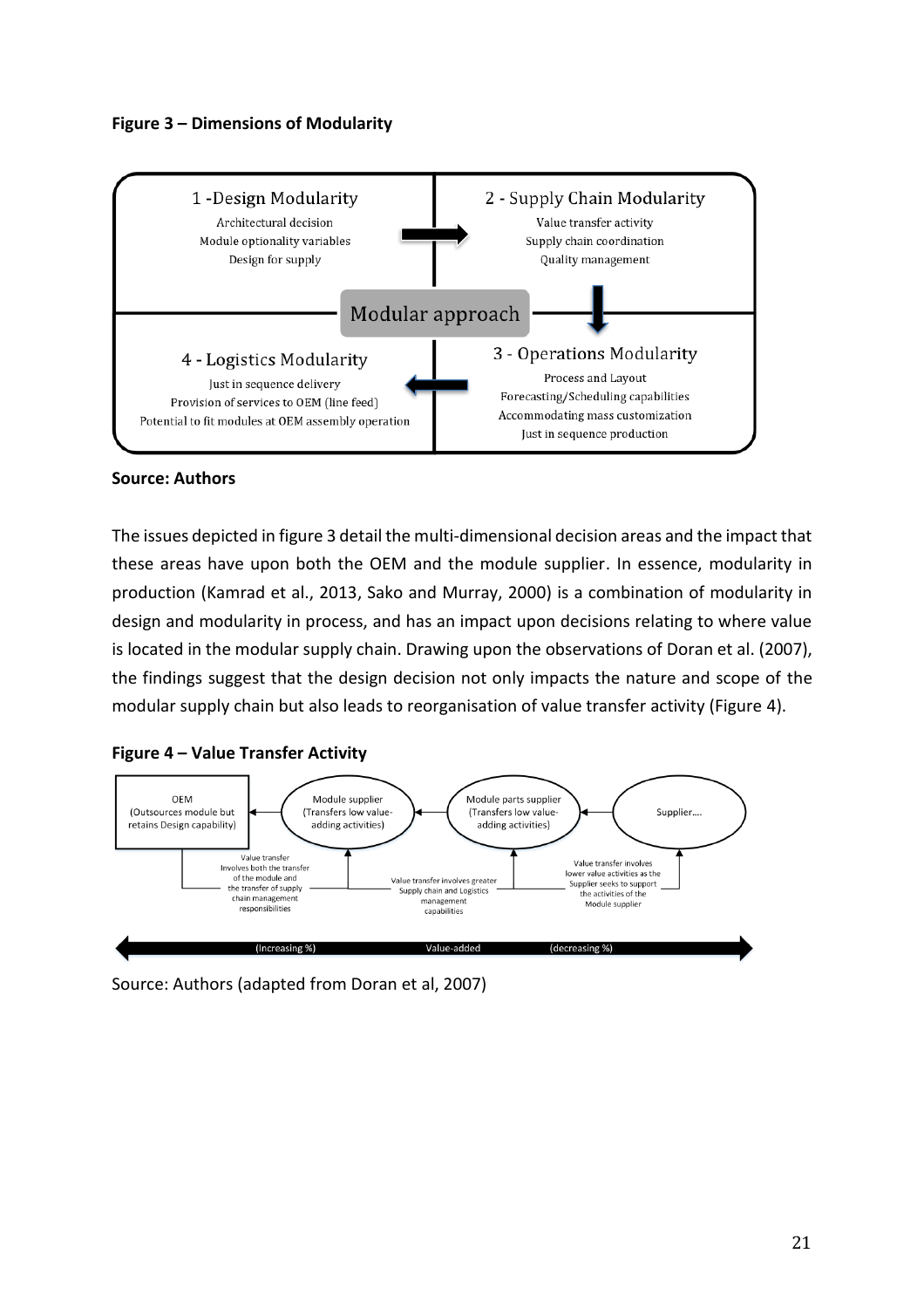#### **Figure 3 – Dimensions of Modularity**



#### **Source: Authors**

The issues depicted in figure 3 detail the multi-dimensional decision areas and the impact that these areas have upon both the OEM and the module supplier. In essence, modularity in production [\(Kamrad et al., 2013,](#page--1-28) [Sako and Murray, 2000\)](#page--1-29) is a combination of modularity in design and modularity in process, and has an impact upon decisions relating to where value is located in the modular supply chain. Drawing upon the observations of [Doran et al. \(2007\)](#page--1-1), the findings suggest that the design decision not only impacts the nature and scope of the modular supply chain but also leads to reorganisation of value transfer activity (Figure 4).





Source: Authors (adapted from Doran et al, 2007)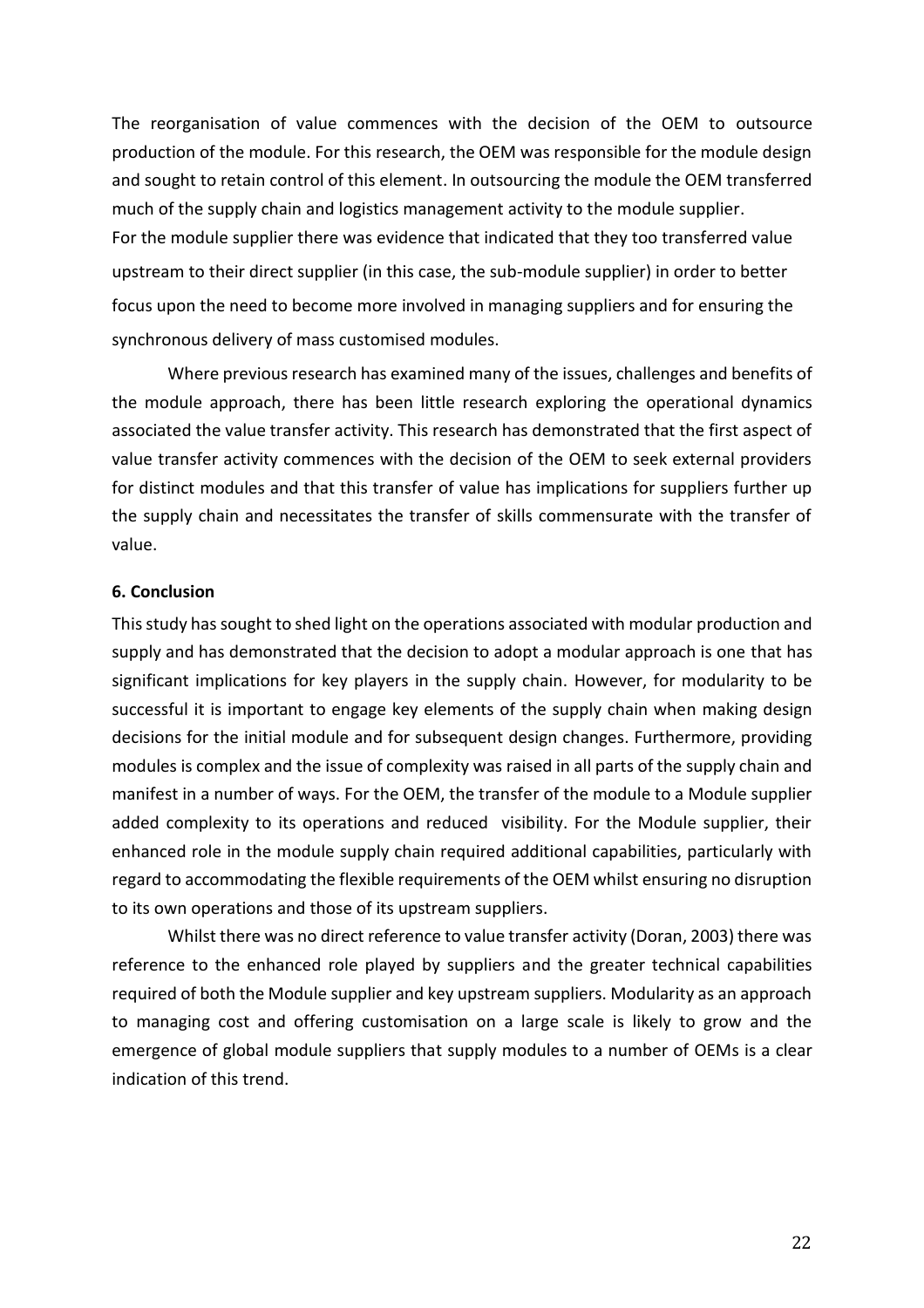The reorganisation of value commences with the decision of the OEM to outsource production of the module. For this research, the OEM was responsible for the module design and sought to retain control of this element. In outsourcing the module the OEM transferred much of the supply chain and logistics management activity to the module supplier. For the module supplier there was evidence that indicated that they too transferred value upstream to their direct supplier (in this case, the sub-module supplier) in order to better focus upon the need to become more involved in managing suppliers and for ensuring the synchronous delivery of mass customised modules.

Where previous research has examined many of the issues, challenges and benefits of the module approach, there has been little research exploring the operational dynamics associated the value transfer activity. This research has demonstrated that the first aspect of value transfer activity commences with the decision of the OEM to seek external providers for distinct modules and that this transfer of value has implications for suppliers further up the supply chain and necessitates the transfer of skills commensurate with the transfer of value.

#### **6. Conclusion**

This study has sought to shed light on the operations associated with modular production and supply and has demonstrated that the decision to adopt a modular approach is one that has significant implications for key players in the supply chain. However, for modularity to be successful it is important to engage key elements of the supply chain when making design decisions for the initial module and for subsequent design changes. Furthermore, providing modules is complex and the issue of complexity was raised in all parts of the supply chain and manifest in a number of ways. For the OEM, the transfer of the module to a Module supplier added complexity to its operations and reduced visibility. For the Module supplier, their enhanced role in the module supply chain required additional capabilities, particularly with regard to accommodating the flexible requirements of the OEM whilst ensuring no disruption to its own operations and those of its upstream suppliers.

Whilst there was no direct reference to value transfer activity (Doran, 2003) there was reference to the enhanced role played by suppliers and the greater technical capabilities required of both the Module supplier and key upstream suppliers. Modularity as an approach to managing cost and offering customisation on a large scale is likely to grow and the emergence of global module suppliers that supply modules to a number of OEMs is a clear indication of this trend.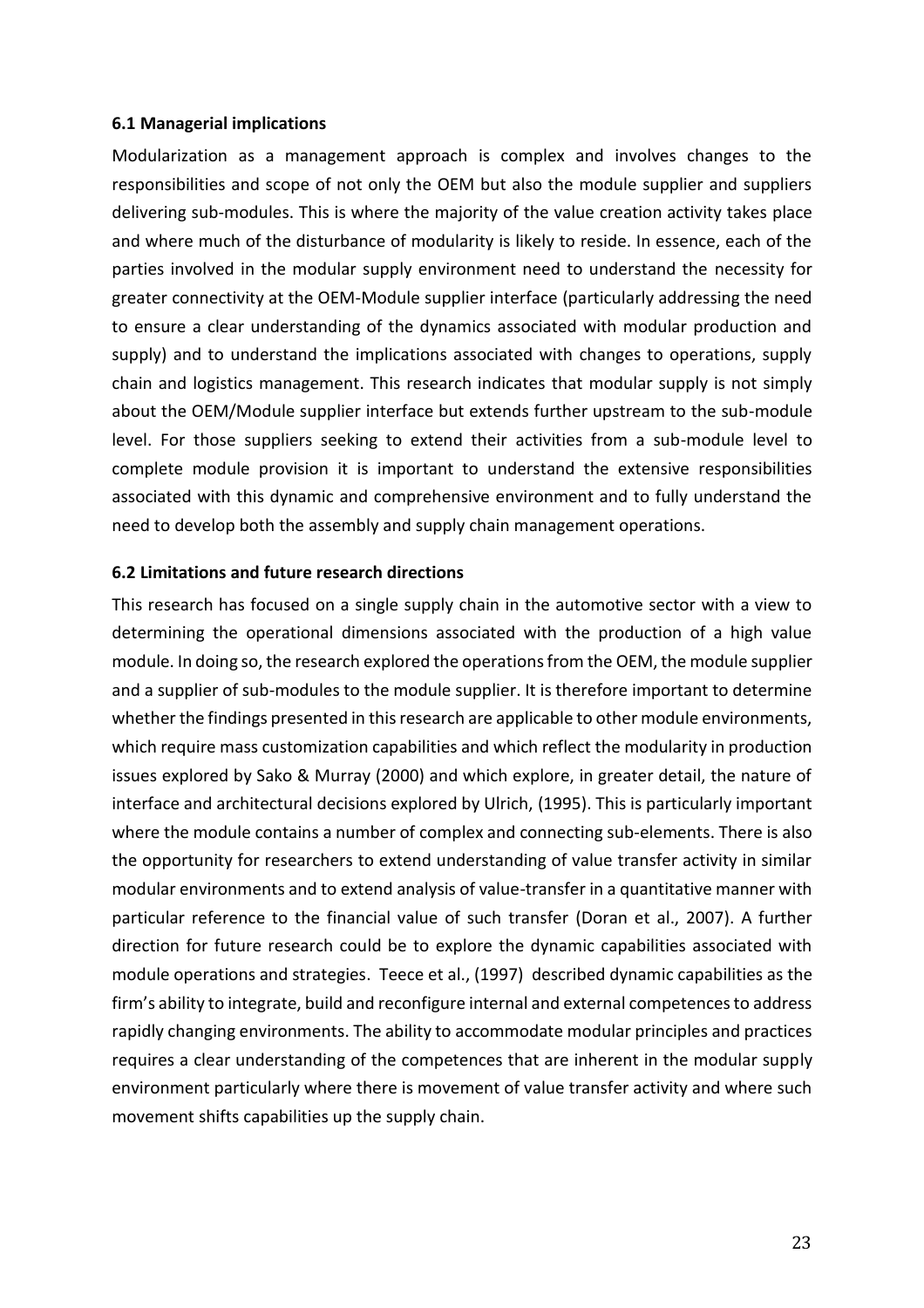#### **6.1 Managerial implications**

Modularization as a management approach is complex and involves changes to the responsibilities and scope of not only the OEM but also the module supplier and suppliers delivering sub-modules. This is where the majority of the value creation activity takes place and where much of the disturbance of modularity is likely to reside. In essence, each of the parties involved in the modular supply environment need to understand the necessity for greater connectivity at the OEM-Module supplier interface (particularly addressing the need to ensure a clear understanding of the dynamics associated with modular production and supply) and to understand the implications associated with changes to operations, supply chain and logistics management. This research indicates that modular supply is not simply about the OEM/Module supplier interface but extends further upstream to the sub-module level. For those suppliers seeking to extend their activities from a sub-module level to complete module provision it is important to understand the extensive responsibilities associated with this dynamic and comprehensive environment and to fully understand the need to develop both the assembly and supply chain management operations.

#### **6.2 Limitations and future research directions**

This research has focused on a single supply chain in the automotive sector with a view to determining the operational dimensions associated with the production of a high value module. In doing so, the research explored the operations from the OEM, the module supplier and a supplier of sub-modules to the module supplier. It is therefore important to determine whether the findings presented in this research are applicable to other module environments, which require mass customization capabilities and which reflect the modularity in production issues explored by Sako & Murray (2000) and which explore, in greater detail, the nature of interface and architectural decisions explored by Ulrich, (1995). This is particularly important where the module contains a number of complex and connecting sub-elements. There is also the opportunity for researchers to extend understanding of value transfer activity in similar modular environments and to extend analysis of value-transfer in a quantitative manner with particular reference to the financial value of such transfer [\(Doran et al., 2007\)](#page--1-1). A further direction for future research could be to explore the dynamic capabilities associated with module operations and strategies. [Teece et al., \(1997\)](#page--1-30) described dynamic capabilities as the firm's ability to integrate, build and reconfigure internal and external competences to address rapidly changing environments. The ability to accommodate modular principles and practices requires a clear understanding of the competences that are inherent in the modular supply environment particularly where there is movement of value transfer activity and where such movement shifts capabilities up the supply chain.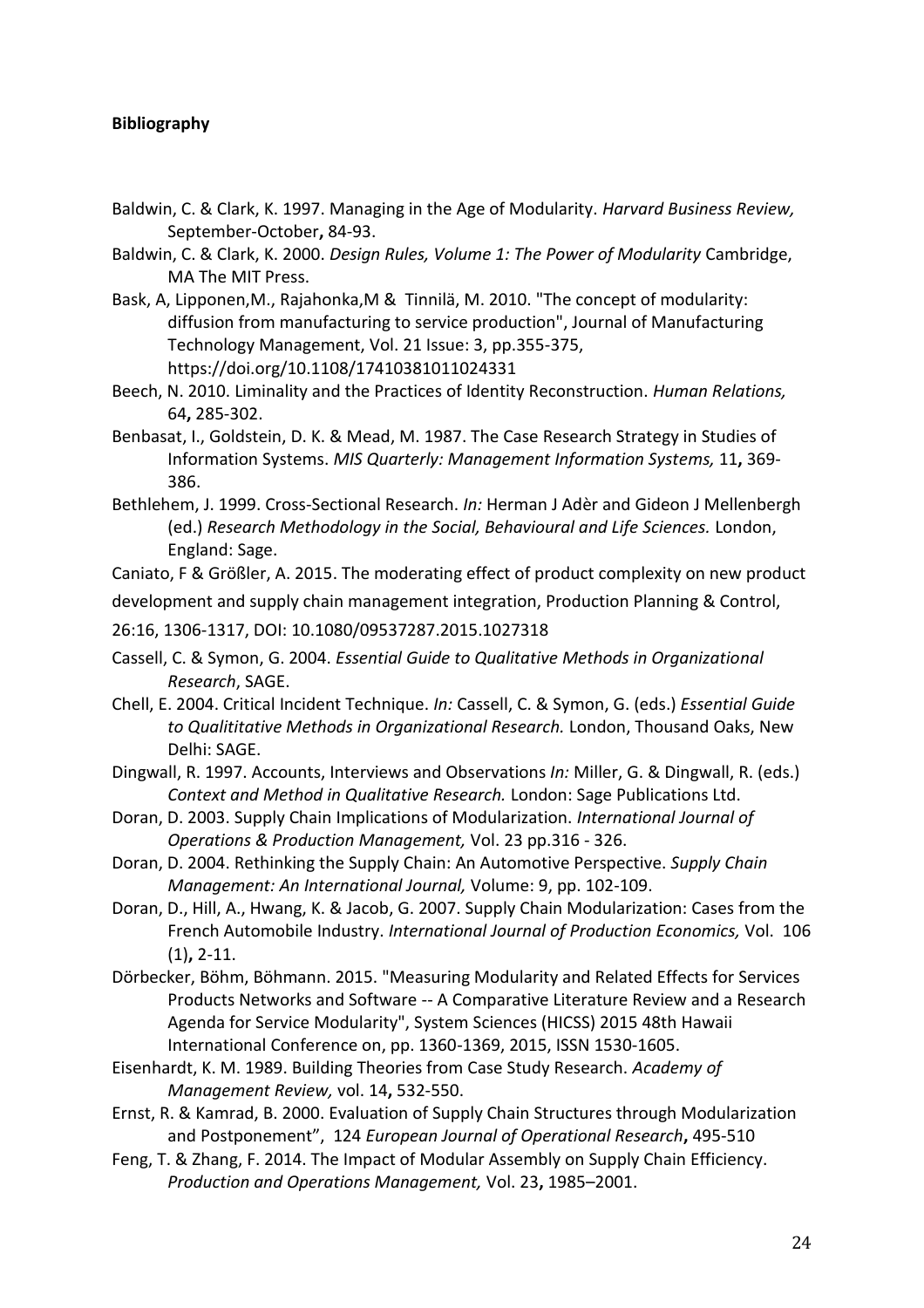#### **Bibliography**

- Baldwin, C. & Clark, K. 1997. Managing in the Age of Modularity. *Harvard Business Review,* September-October**,** 84-93.
- Baldwin, C. & Clark, K. 2000. *Design Rules, Volume 1: The Power of Modularity* Cambridge, MA The MIT Press.
- Bask, A, Lipponen,M., Rajahonka,M & Tinnilä, M. 2010. "The concept of modularity: diffusion from manufacturing to service production", Journal of Manufacturing Technology Management, Vol. 21 Issue: 3, pp.355-375, https://doi.org/10.1108/17410381011024331
- Beech, N. 2010. Liminality and the Practices of Identity Reconstruction. *Human Relations,* 64**,** 285-302.
- Benbasat, I., Goldstein, D. K. & Mead, M. 1987. The Case Research Strategy in Studies of Information Systems. *MIS Quarterly: Management Information Systems,* 11**,** 369- 386.
- Bethlehem, J. 1999. Cross-Sectional Research. *In:* Herman J Adèr and Gideon J Mellenbergh (ed.) *Research Methodology in the Social, Behavioural and Life Sciences.* London, England: Sage.

Caniato, F & Größler, A. 2015. The moderating effect of product complexity on new product

development and supply chain management integration, Production Planning & Control,

26:16, 1306-1317, DOI: 10.1080/09537287.2015.1027318

- Cassell, C. & Symon, G. 2004. *Essential Guide to Qualitative Methods in Organizational Research*, SAGE.
- Chell, E. 2004. Critical Incident Technique. *In:* Cassell, C. & Symon, G. (eds.) *Essential Guide to Qualititative Methods in Organizational Research.* London, Thousand Oaks, New Delhi: SAGE.
- Dingwall, R. 1997. Accounts, Interviews and Observations *In:* Miller, G. & Dingwall, R. (eds.) *Context and Method in Qualitative Research.* London: Sage Publications Ltd.
- Doran, D. 2003. Supply Chain Implications of Modularization. *International Journal of Operations & Production Management,* Vol. 23 pp.316 - 326.
- Doran, D. 2004. Rethinking the Supply Chain: An Automotive Perspective. *Supply Chain Management: An International Journal,* Volume: 9, pp. 102-109.
- Doran, D., Hill, A., Hwang, K. & Jacob, G. 2007. Supply Chain Modularization: Cases from the French Automobile Industry. *International Journal of Production Economics,* Vol. 106 (1)**,** 2-11.
- Dörbecker, Böhm, Böhmann. 2015. "Measuring Modularity and Related Effects for Services Products Networks and Software -- A Comparative Literature Review and a Research Agenda for Service Modularity", System Sciences (HICSS) 2015 48th Hawaii International Conference on, pp. 1360-1369, 2015, ISSN 1530-1605.
- Eisenhardt, K. M. 1989. Building Theories from Case Study Research. *Academy of Management Review,* vol. 14**,** 532-550.
- Ernst, R. & Kamrad, B. 2000. Evaluation of Supply Chain Structures through Modularization and Postponement", 124 *European Journal of Operational Research***,** 495-510
- Feng, T. & Zhang, F. 2014. The Impact of Modular Assembly on Supply Chain Efficiency. *Production and Operations Management,* Vol. 23**,** 1985–2001.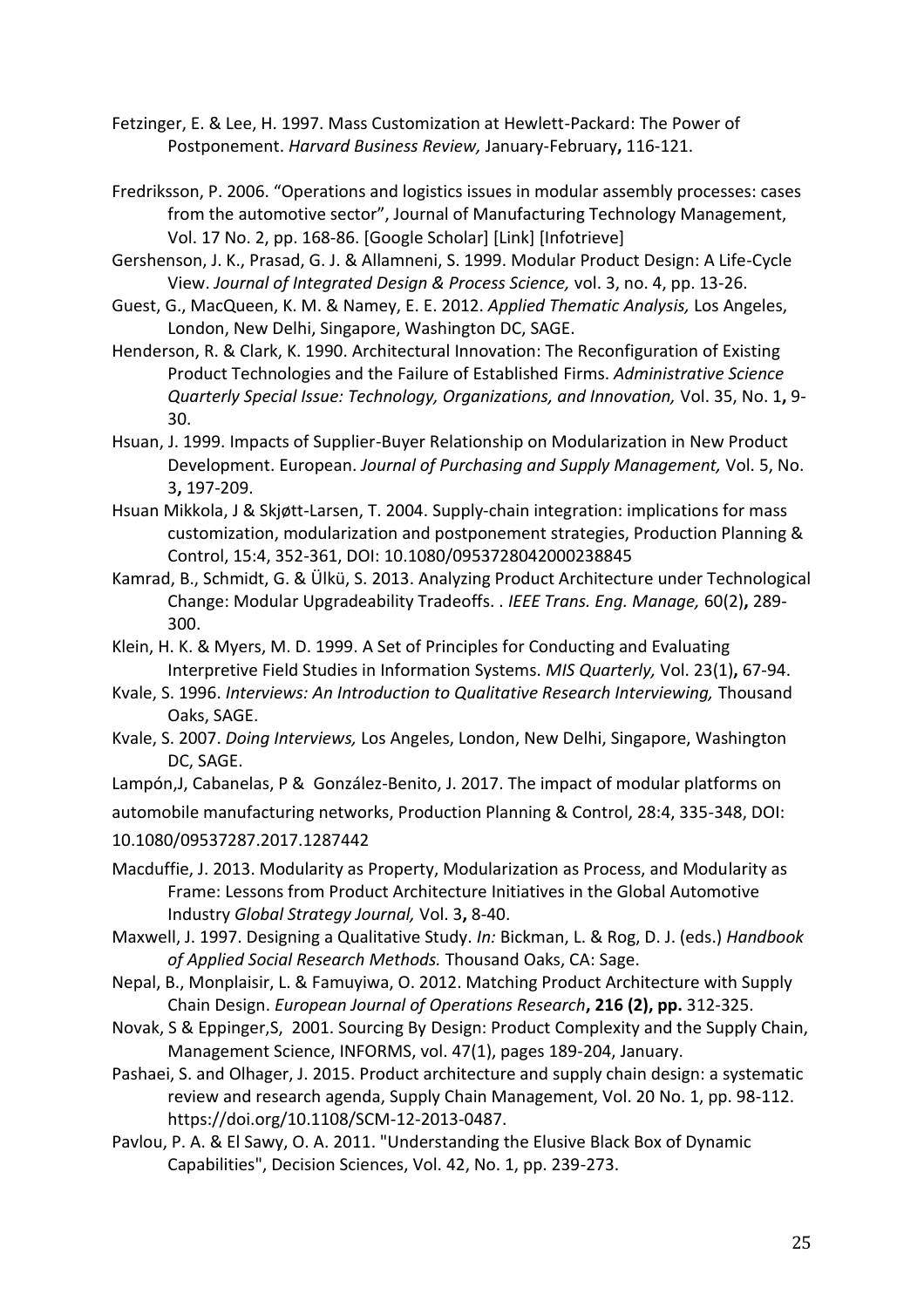Fetzinger, E. & Lee, H. 1997. Mass Customization at Hewlett-Packard: The Power of Postponement. *Harvard Business Review,* January-February**,** 116-121.

- Fredriksson, P. 2006. "Operations and logistics issues in modular assembly processes: cases from the automotive sector", Journal of Manufacturing Technology Management, Vol. 17 No. 2, pp. 168‐86. [Google Scholar] [Link] [Infotrieve]
- Gershenson, J. K., Prasad, G. J. & Allamneni, S. 1999. Modular Product Design: A Life-Cycle View. *Journal of Integrated Design & Process Science,* vol. 3, no. 4, pp. 13-26.
- Guest, G., MacQueen, K. M. & Namey, E. E. 2012. *Applied Thematic Analysis,* Los Angeles, London, New Delhi, Singapore, Washington DC, SAGE.
- Henderson, R. & Clark, K. 1990. Architectural Innovation: The Reconfiguration of Existing Product Technologies and the Failure of Established Firms. *Administrative Science Quarterly Special Issue: Technology, Organizations, and Innovation,* Vol. 35, No. 1**,** 9- 30.
- Hsuan, J. 1999. Impacts of Supplier-Buyer Relationship on Modularization in New Product Development. European. *Journal of Purchasing and Supply Management,* Vol. 5, No. 3**,** 197-209.
- Hsuan Mikkola, J & Skjøtt-Larsen, T. 2004. Supply-chain integration: implications for mass customization, modularization and postponement strategies, Production Planning & Control, 15:4, 352-361, DOI: 10.1080/0953728042000238845
- Kamrad, B., Schmidt, G. & Ülkü, S. 2013. Analyzing Product Architecture under Technological Change: Modular Upgradeability Tradeoffs. . *IEEE Trans. Eng. Manage,* 60(2)**,** 289- 300.
- Klein, H. K. & Myers, M. D. 1999. A Set of Principles for Conducting and Evaluating Interpretive Field Studies in Information Systems. *MIS Quarterly,* Vol. 23(1)**,** 67-94.
- Kvale, S. 1996. *Interviews: An Introduction to Qualitative Research Interviewing,* Thousand Oaks, SAGE.
- Kvale, S. 2007. *Doing Interviews,* Los Angeles, London, New Delhi, Singapore, Washington DC, SAGE.

Lampón,J, Cabanelas, P & González-Benito, J. 2017. The impact of modular platforms on

automobile manufacturing networks, Production Planning & Control, 28:4, 335-348, DOI:

10.1080/09537287.2017.1287442

Macduffie, J. 2013. Modularity as Property, Modularization as Process, and Modularity as Frame: Lessons from Product Architecture Initiatives in the Global Automotive Industry *Global Strategy Journal,* Vol. 3**,** 8-40.

Maxwell, J. 1997. Designing a Qualitative Study. *In:* Bickman, L. & Rog, D. J. (eds.) *Handbook of Applied Social Research Methods.* Thousand Oaks, CA: Sage.

- Nepal, B., Monplaisir, L. & Famuyiwa, O. 2012. Matching Product Architecture with Supply Chain Design. *European Journal of Operations Research***, 216 (2), pp.** 312-325.
- Novak, S & Eppinger,S, 2001. Sourcing By Design: Product Complexity and the Supply Chain, Management Science, INFORMS, vol. 47(1), pages 189-204, January.
- Pashaei, S. and Olhager, J. 2015. Product architecture and supply chain design: a systematic review and research agenda, Supply Chain Management, Vol. 20 No. 1, pp. 98-112. https://doi.org/10.1108/SCM-12-2013-0487.
- Pavlou, P. A. & El Sawy, O. A. 2011. "Understanding the Elusive Black Box of Dynamic Capabilities", Decision Sciences, Vol. 42, No. 1, pp. 239-273.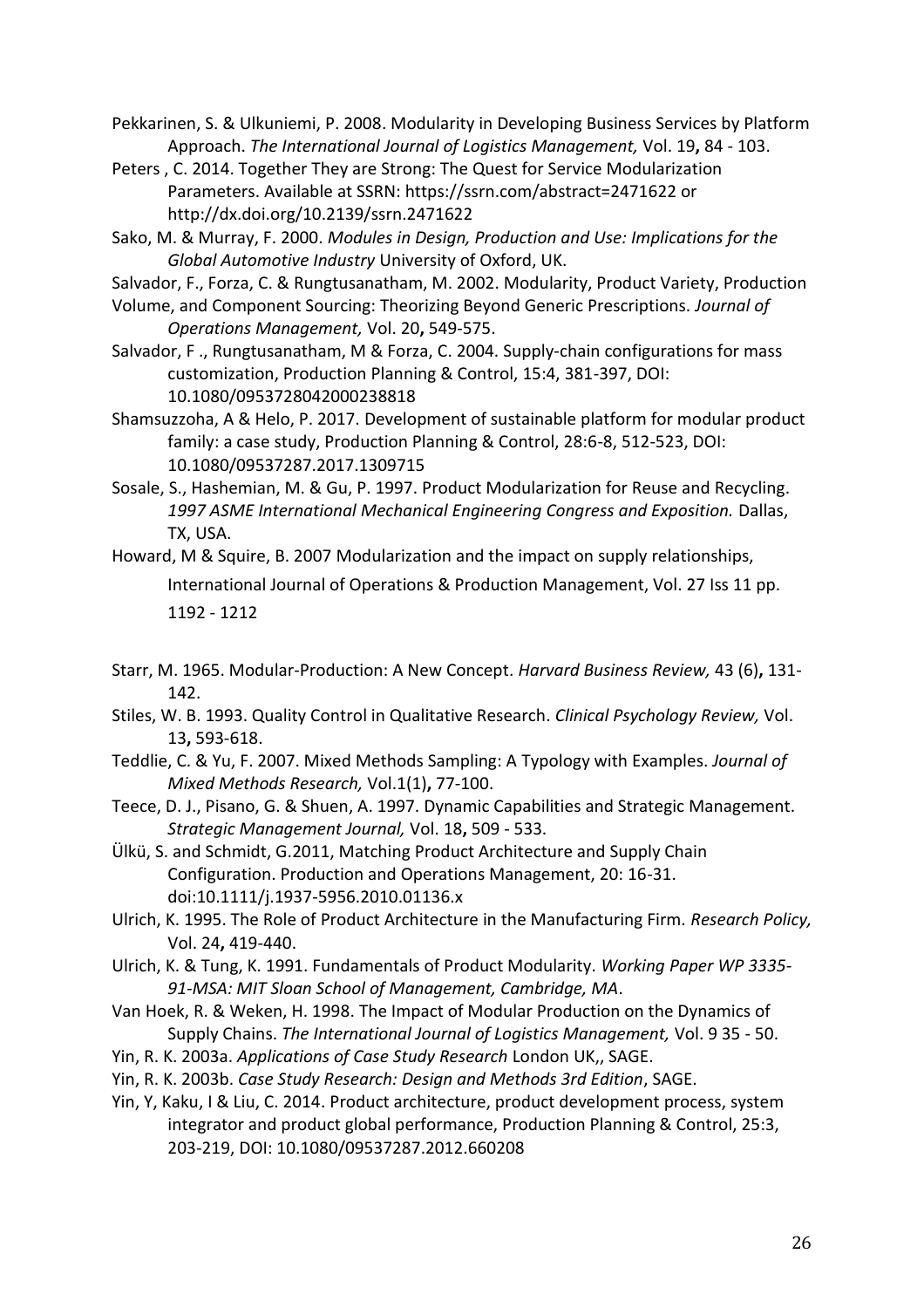Pekkarinen, S. & Ulkuniemi, P. 2008. Modularity in Developing Business Services by Platform Approach. *The International Journal of Logistics Management,* Vol. 19**,** 84 - 103.

- Peters , C. 2014. Together They are Strong: The Quest for Service Modularization Parameters. Available at SSRN: https://ssrn.com/abstract=2471622 or http://dx.doi.org/10.2139/ssrn.2471622
- Sako, M. & Murray, F. 2000. *Modules in Design, Production and Use: Implications for the Global Automotive Industry* University of Oxford, UK.

Salvador, F., Forza, C. & Rungtusanatham, M. 2002. Modularity, Product Variety, Production

- Volume, and Component Sourcing: Theorizing Beyond Generic Prescriptions. *Journal of Operations Management,* Vol. 20**,** 549-575.
- Salvador, F ., Rungtusanatham, M & Forza, C. 2004. Supply-chain configurations for mass customization, Production Planning & Control, 15:4, 381-397, DOI: 10.1080/0953728042000238818
- Shamsuzzoha, A & Helo, P. 2017. Development of sustainable platform for modular product family: a case study, Production Planning & Control, 28:6-8, 512-523, DOI: 10.1080/09537287.2017.1309715
- Sosale, S., Hashemian, M. & Gu, P. 1997. Product Modularization for Reuse and Recycling. *1997 ASME International Mechanical Engineering Congress and Exposition.* Dallas, TX, USA.

Howard, M & Squire, B. 2007 Modularization and the impact on supply relationships, International Journal of Operations & Production Management, Vol. 27 Iss 11 pp. 1192 - 1212

- Starr, M. 1965. Modular-Production: A New Concept. *Harvard Business Review,* 43 (6)**,** 131- 142.
- Stiles, W. B. 1993. Quality Control in Qualitative Research. *Clinical Psychology Review,* Vol. 13**,** 593-618.
- Teddlie, C. & Yu, F. 2007. Mixed Methods Sampling: A Typology with Examples. *Journal of Mixed Methods Research,* Vol.1(1)**,** 77-100.
- Teece, D. J., Pisano, G. & Shuen, A. 1997. Dynamic Capabilities and Strategic Management. *Strategic Management Journal,* Vol. 18**,** 509 - 533.
- Ülkü, S. and Schmidt, G.2011, Matching Product Architecture and Supply Chain Configuration. Production and Operations Management, 20: 16-31. doi:10.1111/j.1937-5956.2010.01136.x
- Ulrich, K. 1995. The Role of Product Architecture in the Manufacturing Firm. *Research Policy,* Vol. 24**,** 419-440.
- Ulrich, K. & Tung, K. 1991. Fundamentals of Product Modularity. *Working Paper WP 3335- 91-MSA: MIT Sloan School of Management, Cambridge, MA*.
- Van Hoek, R. & Weken, H. 1998. The Impact of Modular Production on the Dynamics of Supply Chains. *The International Journal of Logistics Management,* Vol. 9 35 - 50.
- Yin, R. K. 2003a. *Applications of Case Study Research* London UK,, SAGE.
- Yin, R. K. 2003b. *Case Study Research: Design and Methods 3rd Edition*, SAGE.
- Yin, Y, Kaku, I & Liu, C. 2014. Product architecture, product development process, system integrator and product global performance, Production Planning & Control, 25:3, 203-219, DOI: 10.1080/09537287.2012.660208